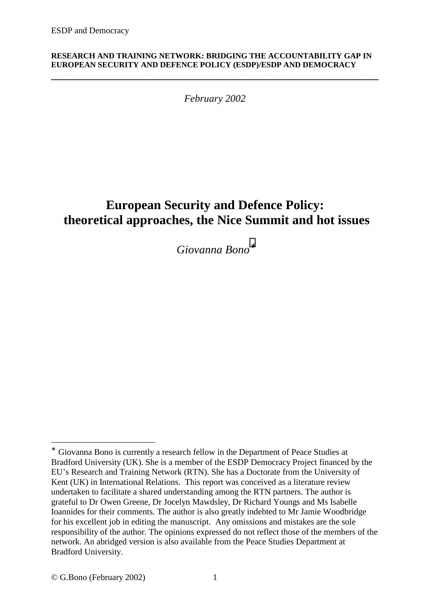#### **RESEARCH AND TRAINING NETWORK: BRIDGING THE ACCOUNTABILITY GAP IN EUROPEAN SECURITY AND DEFENCE POLICY (ESDP)/ESDP AND DEMOCRACY**

*February 2002*

**\_\_\_\_\_\_\_\_\_\_\_\_\_\_\_\_\_\_\_\_\_\_\_\_\_\_\_\_\_\_\_\_\_\_\_\_\_\_\_\_\_\_\_\_\_\_\_\_\_\_\_\_\_\_\_\_\_\_\_\_\_\_\_\_** 

# **European Security and Defence Policy: theoretical approaches, the Nice Summit and hot issues**

*Giovanna Bono*<sup>∗</sup>

<sup>∗</sup> Giovanna Bono is currently a research fellow in the Department of Peace Studies at Bradford University (UK). She is a member of the ESDP Democracy Project financed by the EU's Research and Training Network (RTN). She has a Doctorate from the University of Kent (UK) in International Relations. This report was conceived as a literature review undertaken to facilitate a shared understanding among the RTN partners. The author is grateful to Dr Owen Greene, Dr Jocelyn Mawdsley, Dr Richard Youngs and Ms Isabelle Ioannides for their comments. The author is also greatly indebted to Mr Jamie Woodbridge for his excellent job in editing the manuscript. Any omissions and mistakes are the sole responsibility of the author. The opinions expressed do not reflect those of the members of the network. An abridged version is also available from the Peace Studies Department at Bradford University.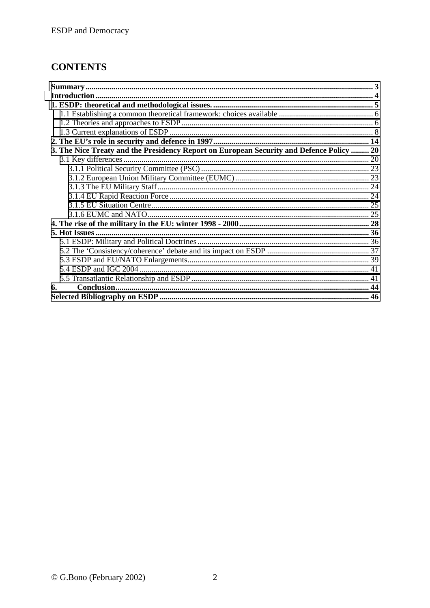## **CONTENTS**

| 3. The Nice Treaty and the Presidency Report on European Security and Defence Policy  20 |  |
|------------------------------------------------------------------------------------------|--|
|                                                                                          |  |
|                                                                                          |  |
|                                                                                          |  |
|                                                                                          |  |
|                                                                                          |  |
|                                                                                          |  |
|                                                                                          |  |
|                                                                                          |  |
|                                                                                          |  |
|                                                                                          |  |
|                                                                                          |  |
|                                                                                          |  |
|                                                                                          |  |
|                                                                                          |  |
| 6.                                                                                       |  |
|                                                                                          |  |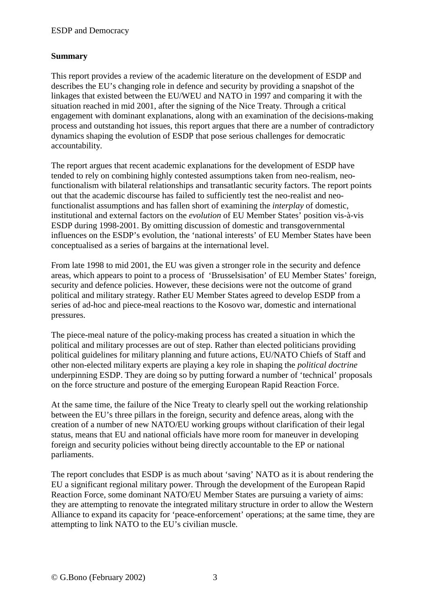## **Summary**

This report provides a review of the academic literature on the development of ESDP and describes the EU's changing role in defence and security by providing a snapshot of the linkages that existed between the EU/WEU and NATO in 1997 and comparing it with the situation reached in mid 2001, after the signing of the Nice Treaty. Through a critical engagement with dominant explanations, along with an examination of the decisions-making process and outstanding hot issues, this report argues that there are a number of contradictory dynamics shaping the evolution of ESDP that pose serious challenges for democratic accountability.

The report argues that recent academic explanations for the development of ESDP have tended to rely on combining highly contested assumptions taken from neo-realism, neofunctionalism with bilateral relationships and transatlantic security factors. The report points out that the academic discourse has failed to sufficiently test the neo-realist and neofunctionalist assumptions and has fallen short of examining the *interplay* of domestic, institutional and external factors on the *evolution* of EU Member States' position vis-à-vis ESDP during 1998-2001. By omitting discussion of domestic and transgovernmental influences on the ESDP's evolution, the 'national interests' of EU Member States have been conceptualised as a series of bargains at the international level.

From late 1998 to mid 2001, the EU was given a stronger role in the security and defence areas, which appears to point to a process of 'Brusselsisation' of EU Member States' foreign, security and defence policies. However, these decisions were not the outcome of grand political and military strategy. Rather EU Member States agreed to develop ESDP from a series of ad-hoc and piece-meal reactions to the Kosovo war, domestic and international pressures.

The piece-meal nature of the policy-making process has created a situation in which the political and military processes are out of step. Rather than elected politicians providing political guidelines for military planning and future actions, EU/NATO Chiefs of Staff and other non-elected military experts are playing a key role in shaping the *political doctrine* underpinning ESDP. They are doing so by putting forward a number of 'technical' proposals on the force structure and posture of the emerging European Rapid Reaction Force.

At the same time, the failure of the Nice Treaty to clearly spell out the working relationship between the EU's three pillars in the foreign, security and defence areas, along with the creation of a number of new NATO/EU working groups without clarification of their legal status, means that EU and national officials have more room for maneuver in developing foreign and security policies without being directly accountable to the EP or national parliaments.

The report concludes that ESDP is as much about 'saving' NATO as it is about rendering the EU a significant regional military power. Through the development of the European Rapid Reaction Force, some dominant NATO/EU Member States are pursuing a variety of aims: they are attempting to renovate the integrated military structure in order to allow the Western Alliance to expand its capacity for 'peace-enforcement' operations; at the same time, they are attempting to link NATO to the EU's civilian muscle.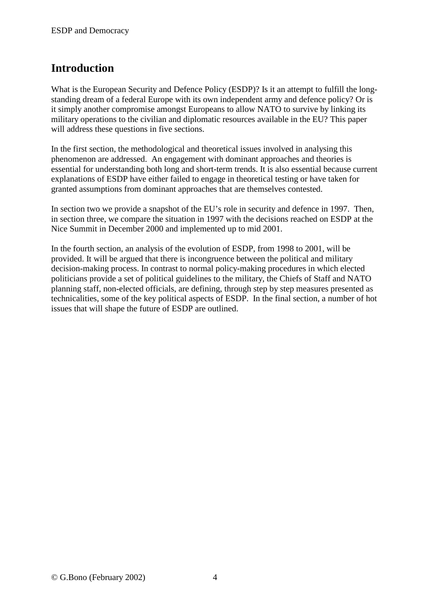## <span id="page-3-0"></span>**Introduction**

What is the European Security and Defence Policy (ESDP)? Is it an attempt to fulfill the longstanding dream of a federal Europe with its own independent army and defence policy? Or is it simply another compromise amongst Europeans to allow NATO to survive by linking its military operations to the civilian and diplomatic resources available in the EU? This paper will address these questions in five sections.

In the first section, the methodological and theoretical issues involved in analysing this phenomenon are addressed. An engagement with dominant approaches and theories is essential for understanding both long and short-term trends. It is also essential because current explanations of ESDP have either failed to engage in theoretical testing or have taken for granted assumptions from dominant approaches that are themselves contested.

In section two we provide a snapshot of the EU's role in security and defence in 1997. Then, in section three, we compare the situation in 1997 with the decisions reached on ESDP at the Nice Summit in December 2000 and implemented up to mid 2001.

In the fourth section, an analysis of the evolution of ESDP, from 1998 to 2001, will be provided. It will be argued that there is incongruence between the political and military decision-making process. In contrast to normal policy-making procedures in which elected politicians provide a set of political guidelines to the military, the Chiefs of Staff and NATO planning staff, non-elected officials, are defining, through step by step measures presented as technicalities, some of the key political aspects of ESDP. In the final section, a number of hot issues that will shape the future of ESDP are outlined.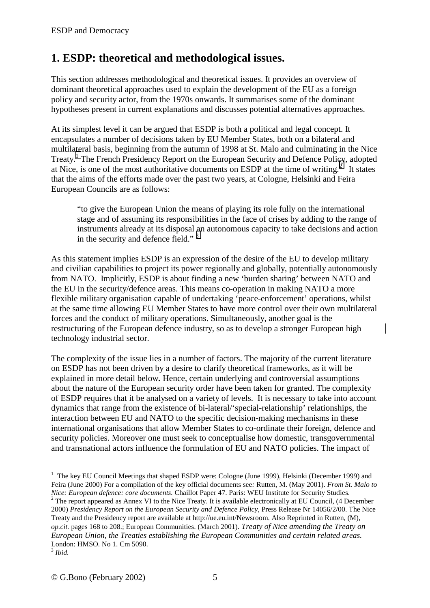## <span id="page-4-0"></span>**1. ESDP: theoretical and methodological issues.**

This section addresses methodological and theoretical issues. It provides an overview of dominant theoretical approaches used to explain the development of the EU as a foreign policy and security actor, from the 1970s onwards. It summarises some of the dominant hypotheses present in current explanations and discusses potential alternatives approaches.

At its simplest level it can be argued that ESDP is both a political and legal concept. It encapsulates a number of decisions taken by EU Member States, both on a bilateral and multilateral basis, beginning from the autumn of 1998 at St. Malo and culminating in the Nice Treaty.<sup>1</sup> The French Presidency Report on the European Security and Defence Policy, adopted at Nice, is one of the most authoritative documents on ESDP at the time of writing.<sup>2</sup> It states that the aims of the efforts made over the past two years, at Cologne, Helsinki and Feira European Councils are as follows:

"to give the European Union the means of playing its role fully on the international stage and of assuming its responsibilities in the face of crises by adding to the range of instruments already at its disposal an autonomous capacity to take decisions and action in the security and defence field."<sup>3</sup>

As this statement implies ESDP is an expression of the desire of the EU to develop military and civilian capabilities to project its power regionally and globally, potentially autonomously from NATO. Implicitly, ESDP is about finding a new 'burden sharing' between NATO and the EU in the security/defence areas. This means co-operation in making NATO a more flexible military organisation capable of undertaking 'peace-enforcement' operations, whilst at the same time allowing EU Member States to have more control over their own multilateral forces and the conduct of military operations. Simultaneously, another goal is the restructuring of the European defence industry, so as to develop a stronger European high technology industrial sector.

The complexity of the issue lies in a number of factors. The majority of the current literature on ESDP has not been driven by a desire to clarify theoretical frameworks, as it will be explained in more detail below*.* Hence, certain underlying and controversial assumptions about the nature of the European security order have been taken for granted. The complexity of ESDP requires that it be analysed on a variety of levels. It is necessary to take into account dynamics that range from the existence of bi-lateral/'special-relationship' relationships, the interaction between EU and NATO to the specific decision-making mechanisms in these international organisations that allow Member States to co-ordinate their foreign, defence and security policies. Moreover one must seek to conceptualise how domestic, transgovernmental and transnational actors influence the formulation of EU and NATO policies. The impact of

<sup>2</sup> The report appeared as Annex VI to the Nice Treaty. It is available electronically at EU Council, (4 December 2000) *Presidency Report on the European Security and Defence Policy*, Press Release Nr 14056/2/00. The Nice Treaty and the Presidency report are available at http://ue.eu.int/Newsroom. Also Reprinted in Rutten, (M), *op.cit.* pages 168 to 208.; European Communities. (March 2001). *Treaty of Nice amending the Treaty on European Union, the Treaties establishing the European Communities and certain related areas.* London: HMSO. No 1. Cm 5090.

<sup>&</sup>lt;sup>1</sup> The key EU Council Meetings that shaped ESDP were: Cologne (June 1999), Helsinki (December 1999) and Feira (June 2000) For a compilation of the key official documents see*:* Rutten, M. (May 2001). *From St. Malo to Nice: European defence: core documents.* Chaillot Paper 47. Paris: WEU Institute for Security Studies. <sup>2</sup>

<sup>3</sup> *Ibid.*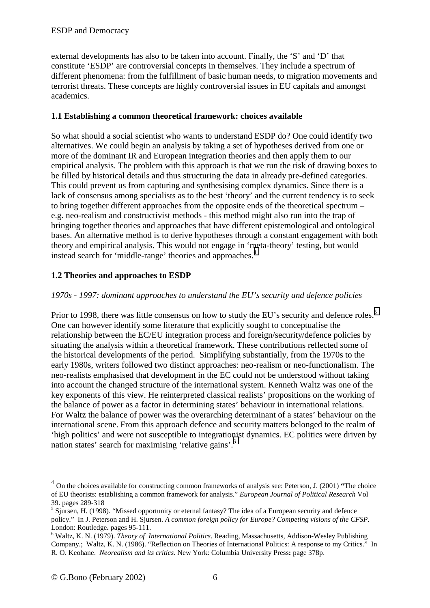<span id="page-5-0"></span>external developments has also to be taken into account. Finally, the 'S' and 'D' that constitute 'ESDP' are controversial concepts in themselves. They include a spectrum of different phenomena: from the fulfillment of basic human needs, to migration movements and terrorist threats. These concepts are highly controversial issues in EU capitals and amongst academics.

#### **1.1 Establishing a common theoretical framework: choices available**

So what should a social scientist who wants to understand ESDP do? One could identify two alternatives. We could begin an analysis by taking a set of hypotheses derived from one or more of the dominant IR and European integration theories and then apply them to our empirical analysis. The problem with this approach is that we run the risk of drawing boxes to be filled by historical details and thus structuring the data in already pre-defined categories. This could prevent us from capturing and synthesising complex dynamics. Since there is a lack of consensus among specialists as to the best 'theory' and the current tendency is to seek to bring together different approaches from the opposite ends of the theoretical spectrum – e.g. neo-realism and constructivist methods - this method might also run into the trap of bringing together theories and approaches that have different epistemological and ontological bases. An alternative method is to derive hypotheses through a constant engagement with both theory and empirical analysis. This would not engage in 'meta-theory' testing, but would instead search for 'middle-range' theories and approaches.<sup>4</sup>

## **1.2 Theories and approaches to ESDP**

#### *1970s - 1997: dominant approaches to understand the EU's security and defence policies*

Prior to 1998, there was little consensus on how to study the EU's security and defence roles.<sup>5</sup> One can however identify some literature that explicitly sought to conceptualise the relationship between the EC/EU integration process and foreign/security/defence policies by situating the analysis within a theoretical framework. These contributions reflected some of the historical developments of the period. Simplifying substantially, from the 1970s to the early 1980s, writers followed two distinct approaches: neo-realism or neo-functionalism. The neo-realists emphasised that development in the EC could not be understood without taking into account the changed structure of the international system. Kenneth Waltz was one of the key exponents of this view. He reinterpreted classical realists' propositions on the working of the balance of power as a factor in determining states' behaviour in international relations. For Waltz the balance of power was the overarching determinant of a states' behaviour on the international scene. From this approach defence and security matters belonged to the realm of 'high politics' and were not susceptible to integrationist dynamics. EC politics were driven by nation states' search for maximising 'relative gains'.6

<sup>4</sup> On the choices available for constructing common frameworks of analysis see: Peterson, J. (2001) **"**The choice of EU theorists: establishing a common framework for analysis." *European Journal of Political Research* Vol 39. pages 289-318

 $<sup>5</sup>$  Sjursen, H. (1998). "Missed opportunity or eternal fantasy? The idea of a European security and defence</sup> policy." In J. Peterson and H. Sjursen. *A common foreign policy for Europe? Competing visions of the CFSP.* London: Routledge. pages 95-111.

Waltz, K. N. (1979). *Theory of International Politics*. Reading, Massachusetts, Addison-Wesley Publishing Company.; Waltz, K. N. (1986). "Reflection on Theories of International Politics: A response to my Critics." In R. O. Keohane. *Neorealism and its critics*. New York: Columbia University Press**:** page 378p.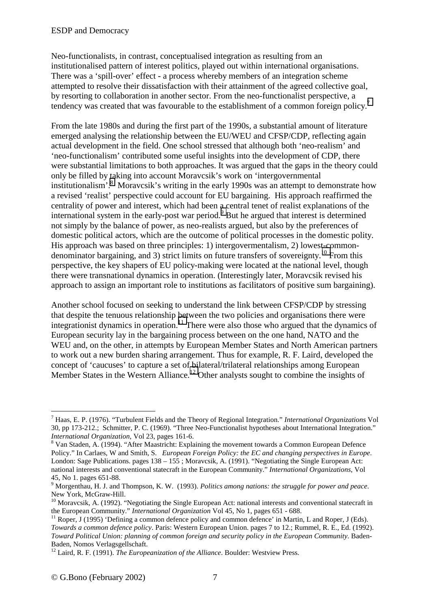Neo-functionalists, in contrast, conceptualised integration as resulting from an institutionalised pattern of interest politics, played out within international organisations. There was a 'spill-over' effect - a process whereby members of an integration scheme attempted to resolve their dissatisfaction with their attainment of the agreed collective goal, by resorting to collaboration in another sector. From the neo-functionalist perspective, a tendency was created that was favourable to the establishment of a common foreign policy.<sup>7</sup>

From the late 1980s and during the first part of the 1990s, a substantial amount of literature emerged analysing the relationship between the EU/WEU and CFSP/CDP, reflecting again actual development in the field. One school stressed that although both 'neo-realism' and 'neo-functionalism' contributed some useful insights into the development of CDP, there were substantial limitations to both approaches. It was argued that the gaps in the theory could only be filled by taking into account Moravcsik's work on 'intergovernmental institutionalism'.<sup>8</sup> Moravcsik's writing in the early 1990s was an attempt to demonstrate how a revised 'realist' perspective could account for EU bargaining. His approach reaffirmed the centrality of power and interest, which had been a central tenet of realist explanations of the international system in the early-post war period.<sup>9</sup> But he argued that interest is determined not simply by the balance of power, as neo-realists argued, but also by the preferences of domestic political actors, which are the outcome of political processes in the domestic polity. His approach was based on three principles: 1) intergovermentalism, 2) lowest-commondenominator bargaining, and 3) strict limits on future transfers of sovereignty.<sup>10</sup> From this perspective, the key shapers of EU policy-making were located at the national level, though there were transnational dynamics in operation. (Interestingly later, Moravcsik revised his approach to assign an important role to institutions as facilitators of positive sum bargaining).

Another school focused on seeking to understand the link between CFSP/CDP by stressing that despite the tenuous relationship between the two policies and organisations there were integrationist dynamics in operation.<sup>11</sup> There were also those who argued that the dynamics of European security lay in the bargaining process between on the one hand, NATO and the WEU and, on the other, in attempts by European Member States and North American partners to work out a new burden sharing arrangement. Thus for example, R. F. Laird, developed the concept of 'caucuses' to capture a set of bilateral/trilateral relationships among European Member States in the Western Alliance.<sup>12</sup> Other analysts sought to combine the insights of

<sup>7</sup> Haas, E. P. (1976). "Turbulent Fields and the Theory of Regional Integration." *International Organizations* Vol 30, pp 173-212.; Schmitter, P. C. (1969). "Three Neo-Functionalist hypotheses about International Integration." *International Organization, Vol 23, pages 161-6.* 

<sup>&</sup>lt;sup>8</sup> Van Staden, A. (1994). "After Maastricht: Explaining the movement towards a Common European Defence Policy." In Carlaes, W and Smith, S. *European Foreign Policy: the EC and changing perspectives in Europe*. London: Sage Publications. pages 138 – 155 ; Moravcsik, A. (1991). "Negotiating the Single European Act: national interests and conventional statecraft in the European Community." *International Organizations*, Vol 45, No 1. pages 651-88. 9

Morgenthau, H. J. and Thompson, K. W. (1993). *Politics among nations: the struggle for power and peace*. New York, McGraw-Hill.

<sup>10</sup> Moravcsik, A. (1992). "Negotiating the Single European Act: national interests and conventional statecraft in the European Community." *International Organization* Vol 45, No 1, pages 651 - 688.<br><sup>11</sup> Roper, J (1995) 'Defining a common defence policy and common defence' in Martin, L and Roper, J (Eds).

*Towards a common defence policy*. Paris: Western European Union. pages 7 to 12.; Rummel, R. E., Ed. (1992). *Toward Political Union: planning of common foreign and security policy in the European Community.* Baden-Baden, Nomos Verlagsgellschaft.

<sup>12</sup> Laird, R. F. (1991). *The Europeanization of the Alliance*. Boulder: Westview Press.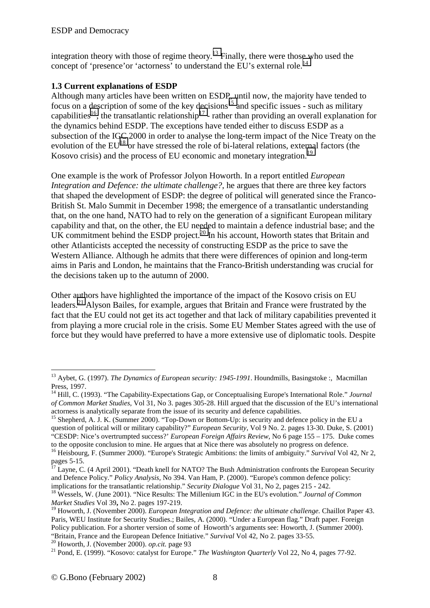<span id="page-7-0"></span>integration theory with those of regime theory.<sup>13</sup> Finally, there were those who used the concept of 'presence' or 'actorness' to understand the EU's external role.<sup>14</sup>

### **1.3 Current explanations of ESDP**

Although many articles have been written on ESDP, until now, the majority have tended to focus on a description of some of the key decisions<sup>15</sup> and specific issues - such as military capabilities<sup>16</sup>, the transatlantic relationship<sup>17</sup> - rather than providing an overall explanation for the dynamics behind ESDP. The exceptions have tended either to discuss ESDP as a subsection of the IGC 2000 in order to analyse the long-term impact of the Nice Treaty on the evolution of the EU<sup>18</sup> or have stressed the role of bi-lateral relations, external factors (the Kosovo crisis) and the process of EU economic and monetary integration.<sup>19</sup>

One example is the work of Professor Jolyon Howorth. In a report entitled *European Integration and Defence: the ultimate challenge?*, he argues that there are three key factors that shaped the development of ESDP: the degree of political will generated since the Franco-British St. Malo Summit in December 1998; the emergence of a transatlantic understanding that, on the one hand, NATO had to rely on the generation of a significant European military capability and that, on the other, the EU needed to maintain a defence industrial base; and the UK commitment behind the ESDP project.<sup>20</sup> In his account, Howorth states that Britain and other Atlanticists accepted the necessity of constructing ESDP as the price to save the Western Alliance. Although he admits that there were differences of opinion and long-term aims in Paris and London, he maintains that the Franco-British understanding was crucial for the decisions taken up to the autumn of 2000.

Other authors have highlighted the importance of the impact of the Kosovo crisis on EU leaders.21 Alyson Bailes, for example, argues that Britain and France were frustrated by the fact that the EU could not get its act together and that lack of military capabilities prevented it from playing a more crucial role in the crisis. Some EU Member States agreed with the use of force but they would have preferred to have a more extensive use of diplomatic tools. Despite

<sup>13</sup> Aybet, G. (1997). *The Dynamics of European security: 1945-1991*. Houndmills, Basingstoke :, Macmillan Press, 1997.

<sup>14</sup> Hill, C. (1993). "The Capability-Expectations Gap, or Conceptualising Europe's International Role." *Journal of Common Market Studies*, Vol 31, No 3. pages 305-28. Hill argued that the discussion of the EU's international actorness is analytically separate from the issue of its security and defence capabilities.

<sup>&</sup>lt;sup>15</sup> Shepherd, A. J. K. (Summer 2000). "Top-Down or Bottom-Up: is security and defence policy in the EU a question of political will or military capability?" *European Security,* Vol 9 No. 2. pages 13-30. Duke, S. (2001) "CESDP: Nice's overtrumpted success?' *European Foreign Affairs Review*, No 6 page 155 – 175. Duke comes

to the opposite conclusion to mine. He argues that at Nice there was absolutely no progress on defence. 16 Heisbourg, F. (Summer 2000). "Europe's Strategic Ambitions: the limits of ambiguity." *Survival* Vol 42, Nr 2, pages 5-15.

 $17$  Layne, C. (4 April 2001). "Death knell for NATO? The Bush Administration confronts the European Security and Defence Policy." *Policy Analysis*, No 394. Van Ham, P. (2000). "Europe's common defence policy: implications for the transatlantic relationship." *Security Dialogue* Vol 31, No 2, pages 215 - 242.

<sup>&</sup>lt;sup>18</sup> Wessels, W. (June 2001). "Nice Results: The Millenium IGC in the EU's evolution." *Journal of Common Market Studies* Vol 39**,** No 2. pages 197-219.

<sup>&</sup>lt;sup>19</sup> Howorth, J. (November 2000). *European Integration and Defence: the ultimate challenge*. Chaillot Paper 43. Paris, WEU Institute for Security Studies.; Bailes, A. (2000). "Under a European flag." Draft paper. Foreign Policy publication. For a shorter version of some of Howorth's arguments see: Howorth, J. (Summer 2000).<br>"Britain, France and the European Defence Initiative." Survival Vol 42, No 2. pages 33-55.

<sup>&</sup>lt;sup>20</sup> Howorth, J. (November 2000). *op.cit.* page 93<br><sup>21</sup> Pond, E. (1999). "Kosovo: catalyst for Europe." *The Washington Quarterly* Vol 22, No 4, pages 77-92.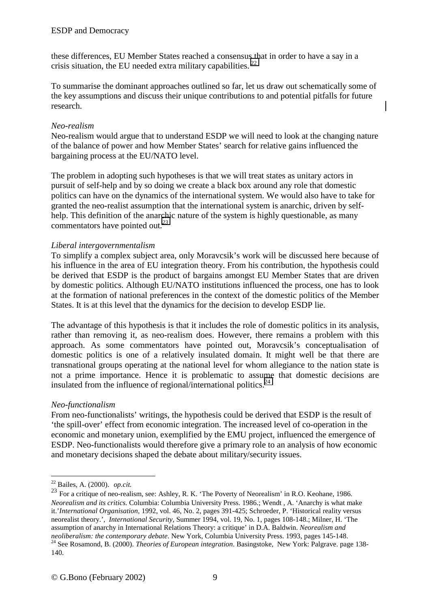these differences, EU Member States reached a consensus that in order to have a say in a crisis situation, the EU needed extra military capabilities.  $^{22}$ 

To summarise the dominant approaches outlined so far, let us draw out schematically some of the key assumptions and discuss their unique contributions to and potential pitfalls for future research.

#### *Neo-realism*

Neo-realism would argue that to understand ESDP we will need to look at the changing nature of the balance of power and how Member States' search for relative gains influenced the bargaining process at the EU/NATO level.

The problem in adopting such hypotheses is that we will treat states as unitary actors in pursuit of self-help and by so doing we create a black box around any role that domestic politics can have on the dynamics of the international system. We would also have to take for granted the neo-realist assumption that the international system is anarchic, driven by selfhelp. This definition of the anarchic nature of the system is highly questionable, as many commentators have pointed out*. 23*

#### *Liberal intergovernmentalism*

To simplify a complex subject area, only Moravcsik's work will be discussed here because of his influence in the area of EU integration theory. From his contribution, the hypothesis could be derived that ESDP is the product of bargains amongst EU Member States that are driven by domestic politics. Although EU/NATO institutions influenced the process, one has to look at the formation of national preferences in the context of the domestic politics of the Member States. It is at this level that the dynamics for the decision to develop ESDP lie.

The advantage of this hypothesis is that it includes the role of domestic politics in its analysis, rather than removing it, as neo-realism does. However, there remains a problem with this approach. As some commentators have pointed out, Moravcsik's conceptualisation of domestic politics is one of a relatively insulated domain. It might well be that there are transnational groups operating at the national level for whom allegiance to the nation state is not a prime importance. Hence it is problematic to assume that domestic decisions are insulated from the influence of regional/international politics. $^{24}$ 

#### *Neo-functionalism*

From neo-functionalists' writings, the hypothesis could be derived that ESDP is the result of 'the spill-over' effect from economic integration. The increased level of co-operation in the economic and monetary union, exemplified by the EMU project, influenced the emergence of ESDP. Neo-functionalists would therefore give a primary role to an analysis of how economic and monetary decisions shaped the debate about military/security issues.

<sup>22</sup> Bailes, A. (2000). *op.cit.*

<sup>&</sup>lt;sup>23</sup> For a critique of neo-realism, see: Ashley, R. K. 'The Poverty of Neorealism' in R.O. Keohane, 1986. *Neorealism and its critics*. Columbia: Columbia University Press. 1986.; Wendt , A. 'Anarchy is what make it.'*International Organisation*, 1992, vol. 46, No. 2, pages 391-425; Schroeder, P. 'Historical reality versus neorealist theory.', *International Security,* Summer 1994, vol. 19, No. 1, pages 108-148.; Milner, H. 'The assumption of anarchy in International Relations Theory: a critique' in D.A. Baldwin. *Neorealism and*  <sup>24</sup> See Rosamond, B. (2000). *Theories of European integration*. Basingstoke, New York: Palgrave. page 138-140.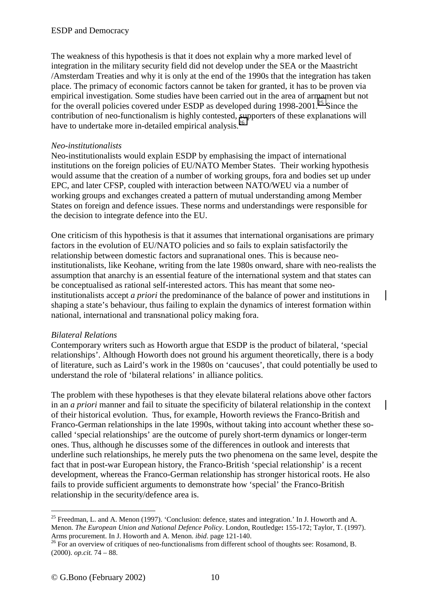The weakness of this hypothesis is that it does not explain why a more marked level of integration in the military security field did not develop under the SEA or the Maastricht /Amsterdam Treaties and why it is only at the end of the 1990s that the integration has taken place. The primacy of economic factors cannot be taken for granted, it has to be proven via empirical investigation. Some studies have been carried out in the area of armament but not for the overall policies covered under ESDP as developed during  $1998-2001$ <sup>25</sup> Since the contribution of neo-functionalism is highly contested, supporters of these explanations will have to undertake more in-detailed empirical analysis.<sup>26</sup>

#### *Neo-institutionalists*

Neo-institutionalists would explain ESDP by emphasising the impact of international institutions on the foreign policies of EU/NATO Member States. Their working hypothesis would assume that the creation of a number of working groups, fora and bodies set up under EPC, and later CFSP, coupled with interaction between NATO/WEU via a number of working groups and exchanges created a pattern of mutual understanding among Member States on foreign and defence issues. These norms and understandings were responsible for the decision to integrate defence into the EU.

One criticism of this hypothesis is that it assumes that international organisations are primary factors in the evolution of EU/NATO policies and so fails to explain satisfactorily the relationship between domestic factors and supranational ones. This is because neoinstitutionalists, like Keohane, writing from the late 1980s onward, share with neo-realists the assumption that anarchy is an essential feature of the international system and that states can be conceptualised as rational self-interested actors. This has meant that some neoinstitutionalists accept *a priori* the predominance of the balance of power and institutions in shaping a state's behaviour, thus failing to explain the dynamics of interest formation within national, international and transnational policy making fora.

#### *Bilateral Relations*

Contemporary writers such as Howorth argue that ESDP is the product of bilateral, 'special relationships'. Although Howorth does not ground his argument theoretically, there is a body of literature, such as Laird's work in the 1980s on 'caucuses', that could potentially be used to understand the role of 'bilateral relations' in alliance politics.

The problem with these hypotheses is that they elevate bilateral relations above other factors in an *a priori* manner and fail to situate the specificity of bilateral relationship in the context of their historical evolution. Thus, for example, Howorth reviews the Franco-British and Franco-German relationships in the late 1990s, without taking into account whether these socalled 'special relationships' are the outcome of purely short-term dynamics or longer-term ones. Thus, although he discusses some of the differences in outlook and interests that underline such relationships, he merely puts the two phenomena on the same level, despite the fact that in post-war European history, the Franco-British 'special relationship' is a recent development, whereas the Franco-German relationship has stronger historical roots. He also fails to provide sufficient arguments to demonstrate how 'special' the Franco-British relationship in the security/defence area is.

 $25$  Freedman, L. and A. Menon (1997). 'Conclusion: defence, states and integration.' In J. Howorth and A. Menon. *The European Union and National Defence Policy*. London, Routledge: 155-172; Taylor, T. (1997). Arms procurement. In J. Howorth and A. Menon. *ibid.* page 121-140.

<sup>&</sup>lt;sup>26</sup> For an overview of critiques of neo-functionalisms from different school of thoughts see: Rosamond, B. (2000). *op.cit.* 74 – 88.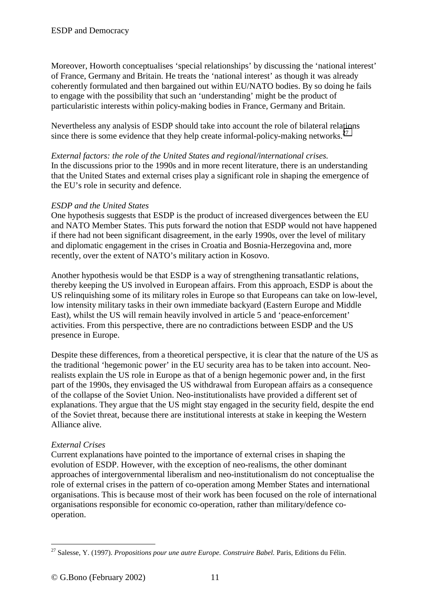Moreover, Howorth conceptualises 'special relationships' by discussing the 'national interest' of France, Germany and Britain. He treats the 'national interest' as though it was already coherently formulated and then bargained out within EU/NATO bodies. By so doing he fails to engage with the possibility that such an 'understanding' might be the product of particularistic interests within policy-making bodies in France, Germany and Britain.

Nevertheless any analysis of ESDP should take into account the role of bilateral relations since there is some evidence that they help create informal-policy-making networks.<sup>27</sup>

*External factors: the role of the United States and regional/international crises.*  In the discussions prior to the 1990s and in more recent literature, there is an understanding that the United States and external crises play a significant role in shaping the emergence of the EU's role in security and defence.

#### *ESDP and the United States*

One hypothesis suggests that ESDP is the product of increased divergences between the EU and NATO Member States. This puts forward the notion that ESDP would not have happened if there had not been significant disagreement, in the early 1990s, over the level of military and diplomatic engagement in the crises in Croatia and Bosnia-Herzegovina and, more recently, over the extent of NATO's military action in Kosovo.

Another hypothesis would be that ESDP is a way of strengthening transatlantic relations, thereby keeping the US involved in European affairs. From this approach, ESDP is about the US relinquishing some of its military roles in Europe so that Europeans can take on low-level, low intensity military tasks in their own immediate backyard (Eastern Europe and Middle East), whilst the US will remain heavily involved in article 5 and 'peace-enforcement' activities. From this perspective, there are no contradictions between ESDP and the US presence in Europe.

Despite these differences, from a theoretical perspective, it is clear that the nature of the US as the traditional 'hegemonic power' in the EU security area has to be taken into account. Neorealists explain the US role in Europe as that of a benign hegemonic power and, in the first part of the 1990s, they envisaged the US withdrawal from European affairs as a consequence of the collapse of the Soviet Union. Neo-institutionalists have provided a different set of explanations. They argue that the US might stay engaged in the security field, despite the end of the Soviet threat, because there are institutional interests at stake in keeping the Western Alliance alive.

#### *External Crises*

Current explanations have pointed to the importance of external crises in shaping the evolution of ESDP. However, with the exception of neo-realisms, the other dominant approaches of intergovernmental liberalism and neo-institutionalism do not conceptualise the role of external crises in the pattern of co-operation among Member States and international organisations. This is because most of their work has been focused on the role of international organisations responsible for economic co-operation, rather than military/defence cooperation.

 $\overline{a}$ 27 Salesse, Y. (1997). *Propositions pour une autre Europe. Construire Babel.* Paris, Editions du Félin.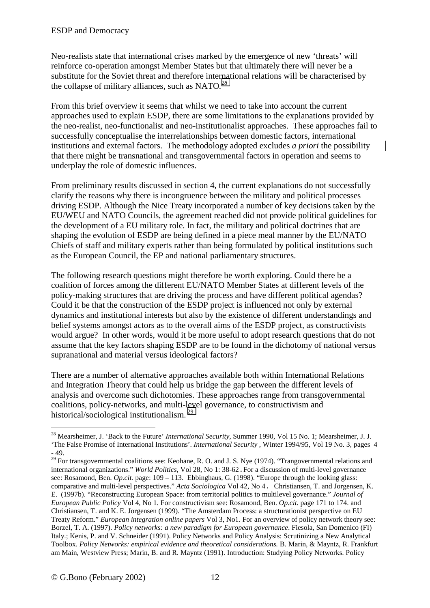Neo-realists state that international crises marked by the emergence of new 'threats' will reinforce co-operation amongst Member States but that ultimately there will never be a substitute for the Soviet threat and therefore international relations will be characterised by the collapse of military alliances, such as NATO*. 28*

From this brief overview it seems that whilst we need to take into account the current approaches used to explain ESDP, there are some limitations to the explanations provided by the neo-realist, neo-functionalist and neo-institutionalist approaches. These approaches fail to successfully conceptualise the interrelationships between domestic factors, international institutions and external factors. The methodology adopted excludes *a priori* the possibility that there might be transnational and transgovernmental factors in operation and seems to underplay the role of domestic influences.

From preliminary results discussed in section 4, the current explanations do not successfully clarify the reasons why there is incongruence between the military and political processes driving ESDP. Although the Nice Treaty incorporated a number of key decisions taken by the EU/WEU and NATO Councils, the agreement reached did not provide political guidelines for the development of a EU military role. In fact, the military and political doctrines that are shaping the evolution of ESDP are being defined in a piece meal manner by the EU/NATO Chiefs of staff and military experts rather than being formulated by political institutions such as the European Council, the EP and national parliamentary structures.

The following research questions might therefore be worth exploring. Could there be a coalition of forces among the different EU/NATO Member States at different levels of the policy-making structures that are driving the process and have different political agendas? Could it be that the construction of the ESDP project is influenced not only by external dynamics and institutional interests but also by the existence of different understandings and belief systems amongst actors as to the overall aims of the ESDP project, as constructivists would argue? In other words, would it be more useful to adopt research questions that do not assume that the key factors shaping ESDP are to be found in the dichotomy of national versus supranational and material versus ideological factors?

There are a number of alternative approaches available both within International Relations and Integration Theory that could help us bridge the gap between the different levels of analysis and overcome such dichotomies. These approaches range from transgovernmental coalitions, policy-networks, and multi-level governance, to constructivism and historical/sociological institutionalism.<sup>29</sup>

<sup>28</sup> Mearsheimer, J. 'Back to the Future' *International Security,* Summer 1990, Vol 15 No. 1; Mearsheimer, J. J. 'The False Promise of International Institutions'. *International Security* , Winter 1994/95, Vol 19 No. 3, pages 4 - 49.

<sup>&</sup>lt;sup>29</sup> For transgovernmental coalitions see: Keohane, R. O. and J. S. Nye (1974). "Trangovernmental relations and international organizations." *World Politics*, Vol 28, No 1: 38-62.For a discussion of multi-level governance see: Rosamond, Ben. *Op.cit.* page: 109 – 113. Ebbinghaus, G. (1998). "Europe through the looking glass: comparative and multi-level perspectives." *Acta Sociologica* Vol 42, No 4. Christiansen, T. and Jorgensen, K. E. (1997b). "Reconstructing European Space: from territorial politics to multilevel governance." *Journal of European Public Policy* Vol 4, No 1. For constructivism see: Rosamond, Ben. *Op.cit.* page 171 to 174. and Christiansen, T. and K. E. Jorgensen (1999). "The Amsterdam Process: a structurationist perspective on EU Treaty Reform." *European integration online papers* Vol 3, No1. For an overview of policy network theory see: Borzel, T. A. (1997). *Policy networks: a new paradigm for European governance*. Fiesola, San Domenico (FI) Italy.; Kenis, P. and V. Schneider (1991). Policy Networks and Policy Analysis: Scrutinizing a New Analytical Toolbox. *Policy Networks: empirical evidence and theoretical considerations.* B. Marin, & Mayntz, R. Frankfurt am Main, Westview Press; Marin, B. and R. Mayntz (1991). Introduction: Studying Policy Networks. Policy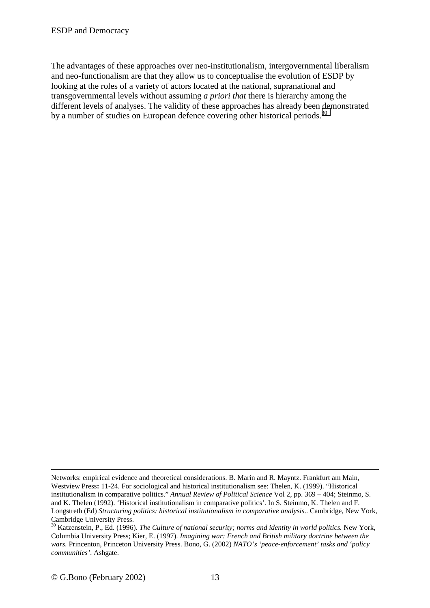The advantages of these approaches over neo-institutionalism, intergovernmental liberalism and neo-functionalism are that they allow us to conceptualise the evolution of ESDP by looking at the roles of a variety of actors located at the national, supranational and transgovernmental levels without assuming *a priori that* there is hierarchy among the different levels of analyses. The validity of these approaches has already been demonstrated by a number of studies on European defence covering other historical periods.<sup>30</sup>

<sup>&</sup>lt;u>.</u> Networks: empirical evidence and theoretical considerations. B. Marin and R. Mayntz. Frankfurt am Main, Westview Press**:** 11-24. For sociological and historical institutionalism see: Thelen, K. (1999). "Historical institutionalism in comparative politics." *Annual Review of Political Science* Vol 2, pp. 369 – 404; Steinmo, S. and K. Thelen (1992). 'Historical institutionalism in comparative politics'. In S. Steinmo, K. Thelen and F. Longstreth (Ed) *Structuring politics: historical institutionalism in comparative analysis*.. Cambridge, New York, Cambridge University Press.

<sup>30</sup> Katzenstein, P., Ed. (1996). *The Culture of national security; norms and identity in world politics.* New York, Columbia University Press; Kier, E. (1997). *Imagining war: French and British military doctrine between the wars.* Princenton, Princeton University Press. Bono, G. (2002) *NATO's 'peace-enforcement' tasks and 'policy communities'*. Ashgate.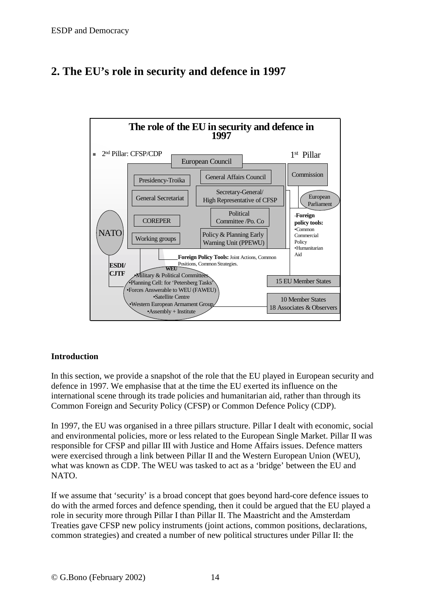<span id="page-13-0"></span>



## **Introduction**

In this section, we provide a snapshot of the role that the EU played in European security and defence in 1997. We emphasise that at the time the EU exerted its influence on the international scene through its trade policies and humanitarian aid, rather than through its Common Foreign and Security Policy (CFSP) or Common Defence Policy (CDP).

In 1997, the EU was organised in a three pillars structure. Pillar I dealt with economic, social and environmental policies, more or less related to the European Single Market. Pillar II was responsible for CFSP and pillar III with Justice and Home Affairs issues. Defence matters were exercised through a link between Pillar II and the Western European Union (WEU), what was known as CDP. The WEU was tasked to act as a 'bridge' between the EU and NATO.

If we assume that 'security' is a broad concept that goes beyond hard-core defence issues to do with the armed forces and defence spending, then it could be argued that the EU played a role in security more through Pillar I than Pillar II. The Maastricht and the Amsterdam Treaties gave CFSP new policy instruments (joint actions, common positions, declarations, common strategies) and created a number of new political structures under Pillar II: the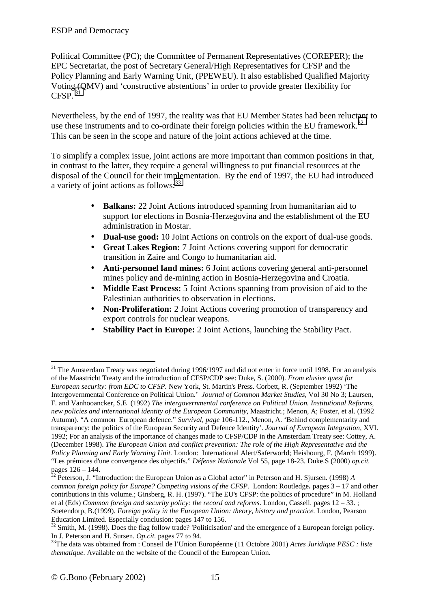Political Committee (PC); the Committee of Permanent Representatives (COREPER); the EPC Secretariat, the post of Secretary General/High Representatives for CFSP and the Policy Planning and Early Warning Unit, (PPEWEU). It also established Qualified Majority Voting (QMV) and 'constructive abstentions' in order to provide greater flexibility for  $CESP^{-31}$ 

Nevertheless, by the end of 1997, the reality was that EU Member States had been reluctant to use these instruments and to co-ordinate their foreign policies within the EU framework.<sup>32</sup> This can be seen in the scope and nature of the joint actions achieved at the time.

To simplify a complex issue, joint actions are more important than common positions in that, in contrast to the latter, they require a general willingness to put financial resources at the disposal of the Council for their implementation*.* By the end of 1997, the EU had introduced a variety of joint actions as follows:<sup>33</sup>

- **Balkans:** 22 Joint Actions introduced spanning from humanitarian aid to support for elections in Bosnia-Herzegovina and the establishment of the EU administration in Mostar.
- **Dual-use good:** 10 Joint Actions on controls on the export of dual-use goods.
- **Great Lakes Region:** 7 Joint Actions covering support for democratic transition in Zaire and Congo to humanitarian aid.
- **Anti-personnel land mines:** 6 Joint actions covering general anti-personnel mines policy and de-mining action in Bosnia-Herzegovina and Croatia.
- **Middle East Process:** 5 Joint Actions spanning from provision of aid to the Palestinian authorities to observation in elections.
- **Non-Proliferation:** 2 Joint Actions covering promotion of transparency and export controls for nuclear weapons.
- **Stability Pact in Europe:** 2 Joint Actions, launching the Stability Pact.

<sup>&</sup>lt;sup>31</sup> The Amsterdam Treaty was negotiated during 1996/1997 and did not enter in force until 1998. For an analysis of the Maastricht Treaty and the introduction of CFSP/CDP see: Duke, S. (2000). *From elusive quest for European security: from EDC to CFSP.* New York, St. Martin's Press. Corbett, R. (September 1992) 'The Intergovernmental Conference on Political Union.' *Journal of Common Market Studies*, Vol 30 No 3; Laursen, F. and Vanhooancker, S.E (1992) *The intergovernmental conference on Political Union. Institutional Reforms, new policies and international identity of the European Community*, Maastricht.; Menon, A; Foster, et al. (1992 Autumn). "A common European defence." *Survival, page* 106-112., Menon, A. 'Behind complementarity and transparency: the politics of the European Security and Defence Identity'. *Journal of European Integration*, XVI. 1992; For an analysis of the importance of changes made to CFSP/CDP in the Amsterdam Treaty see: Cottey, A. (December 1998). *The European Union and conflict prevention: The role of the High Representative and the Policy Planning and Early Warning Unit.* London: International Alert/Saferworld; Heisbourg, F. (March 1999). "Les prémices d'une convergence des objectifs." *Défense Nationale* Vol 55, page 18-23. Duke.S (2000) *op.cit.* pages 126 – 144.

<sup>32</sup> Peterson, J. "Introduction: the European Union as a Global actor" in Peterson and H. Sjursen. (1998) *A common foreign policy for Europe? Competing visions of the CFSP.* London: Routledge**.** pages 3 – 17 and other contributions in this volume.; Ginsberg, R. H. (1997). "The EU's CFSP: the politics of procedure" in M. Holland et al (Eds) *Common foreign and security policy: the record and reforms*. London, Cassell. pages 12 – 33. ; Soetendorp, B.(1999). *Foreign policy in the European Union: theory, history and practice.* London, Pearson Education Limited. Especially conclusion: pages 147 to 156.

<sup>&</sup>lt;sup>32</sup> Smith, M. (1998). Does the flag follow trade? 'Politicisation' and the emergence of a European foreign policy. In J. Peterson and H. Sursen. *Op.cit.* pages 77 to 94.<br><sup>33</sup>The data was obtained from : Conseil de l'Union Européenne (11 Octobre 2001) *Actes Juridique PESC : liste* 

*thematique*. Available on the website of the Council of the European Union.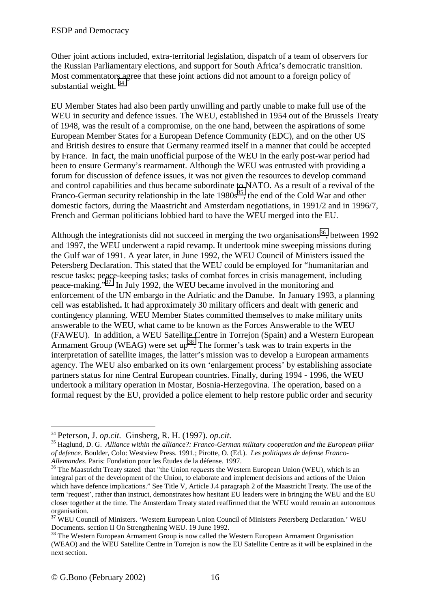Other joint actions included, extra-territorial legislation, dispatch of a team of observers for the Russian Parliamentary elections, and support for South Africa's democratic transition. Most commentators agree that these joint actions did not amount to a foreign policy of substantial weight.  $34$ 

EU Member States had also been partly unwilling and partly unable to make full use of the WEU in security and defence issues. The WEU, established in 1954 out of the Brussels Treaty of 1948, was the result of a compromise, on the one hand, between the aspirations of some European Member States for a European Defence Community (EDC), and on the other US and British desires to ensure that Germany rearmed itself in a manner that could be accepted by France. In fact, the main unofficial purpose of the WEU in the early post-war period had been to ensure Germany's rearmament. Although the WEU was entrusted with providing a forum for discussion of defence issues, it was not given the resources to develop command and control capabilities and thus became subordinate to NATO. As a result of a revival of the Franco-German security relationship in the late  $1980s^{35}$ , the end of the Cold War and other domestic factors, during the Maastricht and Amsterdam negotiations, in 1991/2 and in 1996/7, French and German politicians lobbied hard to have the WEU merged into the EU.

Although the integrationists did not succeed in merging the two organisations<sup>36</sup>, between 1992 and 1997, the WEU underwent a rapid revamp. It undertook mine sweeping missions during the Gulf war of 1991. A year later, in June 1992, the WEU Council of Ministers issued the Petersberg Declaration. This stated that the WEU could be employed for "humanitarian and rescue tasks; peace-keeping tasks; tasks of combat forces in crisis management, including peace-making."37 In July 1992, the WEU became involved in the monitoring and enforcement of the UN embargo in the Adriatic and the Danube. In January 1993, a planning cell was established**.** It had approximately 30 military officers and dealt with generic and contingency planning. WEU Member States committed themselves to make military units answerable to the WEU, what came to be known as the Forces Answerable to the WEU (FAWEU). In addition, a WEU Satellite Centre in Torrejon (Spain) and a Western European Armament Group (WEAG) were set  $up^{38}$ . The former's task was to train experts in the interpretation of satellite images, the latter's mission was to develop a European armaments agency. The WEU also embarked on its own 'enlargement process' by establishing associate partners status for nine Central European countries. Finally, during 1994 - 1996, the WEU undertook a military operation in Mostar, Bosnia-Herzegovina. The operation, based on a formal request by the EU, provided a police element to help restore public order and security

<sup>&</sup>lt;sup>34</sup> Peterson, J. *op.cit.* Ginsberg, R. H. (1997). *op.cit. Sp.cit.* 35 Haglund, D. G. *Alliance within the alliance?: Franco-German military cooperation and the European pillar of defence*. Boulder, Colo: Westview Press. 1991.; Pirotte, O. (Ed.). *Les politiques de defense Franco-*

*Allemandes*. Paris: Fondation pour les Études de la défense. 1997. 36 The Maastricht Treaty stated that "the Union *requests* the Western European Union (WEU), which is an integral part of the development of the Union, to elaborate and implement decisions and actions of the Union which have defence implications." See Title V, Article J.4 paragraph 2 of the Maastricht Treaty. The use of the term 'request', rather than instruct, demonstrates how hesitant EU leaders were in bringing the WEU and the EU closer together at the time. The Amsterdam Treaty stated reaffirmed that the WEU would remain an autonomous organisation.

**<sup>37</sup>** WEU Council of Ministers. 'Western European Union Council of Ministers Petersberg Declaration.' WEU Documents. section II On Strengthening WEU. 19 June 1992.

<sup>&</sup>lt;sup>38</sup> The Western European Armament Group is now called the Western European Armament Organisation (WEAO) and the WEU Satellite Centre in Torrejon is now the EU Satellite Centre as it will be explained in the next section.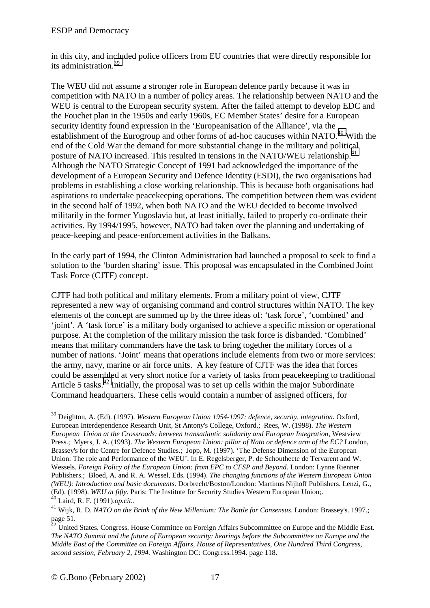in this city, and included police officers from EU countries that were directly responsible for its administration.39

The WEU did not assume a stronger role in European defence partly because it was in competition with NATO in a number of policy areas. The relationship between NATO and the WEU is central to the European security system. After the failed attempt to develop EDC and the Fouchet plan in the 1950s and early 1960s, EC Member States' desire for a European security identity found expression in the 'Europeanisation of the Alliance', via the establishment of the Eurogroup and other forms of ad-hoc caucuses within NATO.<sup>40</sup> With the end of the Cold War the demand for more substantial change in the military and political posture of NATO increased. This resulted in tensions in the NATO/WEU relationship.<sup>41</sup> Although the NATO Strategic Concept of 1991 had acknowledged the importance of the development of a European Security and Defence Identity (ESDI), the two organisations had problems in establishing a close working relationship. This is because both organisations had aspirations to undertake peacekeeping operations. The competition between them was evident in the second half of 1992, when both NATO and the WEU decided to become involved militarily in the former Yugoslavia but, at least initially, failed to properly co-ordinate their activities. By 1994/1995, however, NATO had taken over the planning and undertaking of peace-keeping and peace-enforcement activities in the Balkans.

In the early part of 1994, the Clinton Administration had launched a proposal to seek to find a solution to the 'burden sharing' issue. This proposal was encapsulated in the Combined Joint Task Force (CJTF) concept.

CJTF had both political and military elements. From a military point of view, CJTF represented a new way of organising command and control structures within NATO. The key elements of the concept are summed up by the three ideas of: 'task force', 'combined' and 'joint'. A 'task force' is a military body organised to achieve a specific mission or operational purpose. At the completion of the military mission the task force is disbanded. 'Combined' means that military commanders have the task to bring together the military forces of a number of nations. 'Joint' means that operations include elements from two or more services: the army, navy, marine or air force units. A key feature of CJTF was the idea that forces could be assembled at very short notice for a variety of tasks from peacekeeping to traditional Article 5 tasks.<sup>42</sup> Initially, the proposal was to set up cells within the major Subordinate Command headquarters. These cells would contain a number of assigned officers, for

<sup>&</sup>lt;sup>39</sup> Deighton, A. (Ed). (1997). Western European Union 1954-1997: defence, security, integration. Oxford, European Interdependence Research Unit, St Antony's College, Oxford.; Rees, W. (1998). *The Western European Union at the Crossroads: between transatlantic solidarity and European Integration*, Westview Press.; Myers, J. A. (1993). *The Western European Union: pillar of Nato or defence arm of the EC?* London, Brassey's for the Centre for Defence Studies.; Jopp, M. (1997). 'The Defense Dimension of the European Union: The role and Performance of the WEU'. In E. Regelsberger, P. de Schoutheete de Tervarent and W. Wessels. *Foreign Policy of the European Union: from EPC to CFSP and Beyond*. London: Lynne Rienner Publishers.; Bloed, A. and R. A. Wessel, Eds. (1994). *The changing functions of the Western European Union (WEU): Introduction and basic documents*. Dorbrecht/Boston/London: Martinus Nijhoff Publishers. Lenzi, G., (Ed). (1998). *WEU at fifty*. Paris: The Institute for Security Studies Western European Union;.

<sup>&</sup>lt;sup>41</sup> Wijk, R. D. *NATO on the Brink of the New Millenium: The Battle for Consensus*. London: Brassey's. 1997.; page 51.

 $\frac{42}{42}$  United States. Congress. House Committee on Foreign Affairs Subcommittee on Europe and the Middle East. *The NATO Summit and the future of European security: hearings before the Subcommittee on Europe and the Middle East of the Committee on Foreign Affairs, House of Representatives, One Hundred Third Congress, second session, February 2, 1994.* Washington DC: Congress.1994. page 118.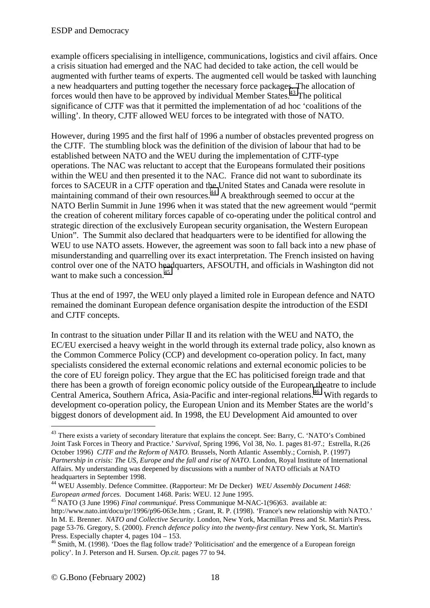example officers specialising in intelligence, communications, logistics and civil affairs. Once a crisis situation had emerged and the NAC had decided to take action, the cell would be augmented with further teams of experts. The augmented cell would be tasked with launching a new headquarters and putting together the necessary force packages. The allocation of forces would then have to be approved by individual Member States.43 The political significance of CJTF was that it permitted the implementation of ad hoc 'coalitions of the willing'. In theory, CJTF allowed WEU forces to be integrated with those of NATO.

However, during 1995 and the first half of 1996 a number of obstacles prevented progress on the CJTF. The stumbling block was the definition of the division of labour that had to be established between NATO and the WEU during the implementation of CJTF-type operations. The NAC was reluctant to accept that the Europeans formulated their positions within the WEU and then presented it to the NAC. France did not want to subordinate its forces to SACEUR in a CJTF operation and the United States and Canada were resolute in maintaining command of their own resources.<sup>44</sup> A breakthrough seemed to occur at the NATO Berlin Summit in June 1996 when it was stated that the new agreement would "permit the creation of coherent military forces capable of co-operating under the political control and strategic direction of the exclusively European security organisation, the Western European Union". The Summit also declared that headquarters were to be identified for allowing the WEU to use NATO assets. However, the agreement was soon to fall back into a new phase of misunderstanding and quarrelling over its exact interpretation. The French insisted on having control over one of the NATO headquarters, AFSOUTH, and officials in Washington did not want to make such a concession.<sup>45</sup>

Thus at the end of 1997, the WEU only played a limited role in European defence and NATO remained the dominant European defence organisation despite the introduction of the ESDI and CJTF concepts.

In contrast to the situation under Pillar II and its relation with the WEU and NATO, the EC/EU exercised a heavy weight in the world through its external trade policy, also known as the Common Commerce Policy (CCP) and development co-operation policy. In fact, many specialists considered the external economic relations and external economic policies to be the core of EU foreign policy. They argue that the EC has politicised foreign trade and that there has been a growth of foreign economic policy outside of the European theatre to include Central America, Southern Africa, Asia-Pacific and inter-regional relations.<sup>46</sup> With regards to development co-operation policy, the European Union and its Member States are the world's biggest donors of development aid. In 1998, the EU Development Aid amounted to over

<sup>&</sup>lt;sup>43</sup> There exists a variety of secondary literature that explains the concept. See: Barry, C. 'NATO's Combined Joint Task Forces in Theory and Practice.' *Survival,* Spring 1996, Vol 38, No. 1. pages 81-97.; Estrella, R.(26 October 1996) *CJTF and the Reform of NATO.* Brussels, North Atlantic Assembly.; Cornish, P. (1997) *Partnership in crisis: The US, Europe and the fall and rise of NATO*. London, Royal Institute of International Affairs. My understanding was deepened by discussions with a number of NATO officials at NATO headquarters in September 1998.

<sup>44</sup> WEU Assembly. Defence Committee. (Rapporteur: Mr De Decker) *WEU Assembly Document 1468: European armed forces.* Document 1468. Paris: WEU. 12 June 1995. 45 NATO (3 June 1996) *Final communiqué*. Press Communique M-NAC-1(96)63. available at:

http://www.nato.int/docu/pr/1996/p96-063e.htm. ; Grant, R. P. (1998). 'France's new relationship with NATO.' In M. E. Brenner. *NATO and Collective Security*. London, New York, Macmillan Press and St. Martin's Press**.**  page 53-76. Gregory, S. (2000). *French defence policy into the twenty-first century*. New York, St. Martin's Press. Especially chapter 4, pages  $104 - 153$ .

<sup>&</sup>lt;sup>46</sup> Smith, M. (1998). 'Does the flag follow trade? 'Politicisation' and the emergence of a European foreign policy'. In J. Peterson and H. Sursen. *Op.cit.* pages 77 to 94.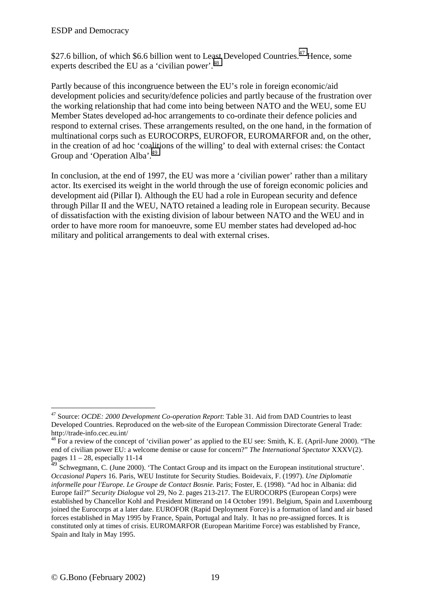\$27.6 billion, of which \$6.6 billion went to Least Developed Countries.<sup>47</sup> Hence, some experts described the EU as a 'civilian power'.<sup>48</sup>

Partly because of this incongruence between the EU's role in foreign economic/aid development policies and security/defence policies and partly because of the frustration over the working relationship that had come into being between NATO and the WEU, some EU Member States developed ad-hoc arrangements to co-ordinate their defence policies and respond to external crises. These arrangements resulted, on the one hand, in the formation of multinational corps such as EUROCORPS, EUROFOR, EUROMARFOR and, on the other, in the creation of ad hoc 'coalitions of the willing' to deal with external crises: the Contact Group and 'Operation Alba'.<sup>49</sup>

In conclusion, at the end of 1997, the EU was more a 'civilian power' rather than a military actor. Its exercised its weight in the world through the use of foreign economic policies and development aid (Pillar I). Although the EU had a role in European security and defence through Pillar II and the WEU, NATO retained a leading role in European security. Because of dissatisfaction with the existing division of labour between NATO and the WEU and in order to have more room for manoeuvre, some EU member states had developed ad-hoc military and political arrangements to deal with external crises.

<sup>47</sup> Source: *OCDE: 2000 Development Co-operation Report*: Table 31. Aid from DAD Countries to least Developed Countries. Reproduced on the web-site of the European Commission Directorate General Trade: http://trade-info.cec.eu.int/

<sup>&</sup>lt;sup>48</sup> For a review of the concept of 'civilian power' as applied to the EU see: Smith, K. E. (April-June 2000). "The end of civilian power EU: a welcome demise or cause for concern?" *The International Spectator* XXXV(2). pages  $11 - 28$ , especially 11-14

<sup>&</sup>lt;sup>49</sup> Schwegmann, C. (June 2000). 'The Contact Group and its impact on the European institutional structure'. *Occasional Papers* 16. Paris, WEU Institute for Security Studies. Boidevaix, F. (1997). *Une Diplomatie informelle pour l'Europe. Le Groupe de Contact Bosnie.* Paris; Foster, E. (1998). "Ad hoc in Albania: did Europe fail?" *Security Dialogue* vol 29, No 2. pages 213-217. The EUROCORPS (European Corps) were established by Chancellor Kohl and President Mitterand on 14 October 1991. Belgium, Spain and Luxembourg joined the Eurocorps at a later date. EUROFOR (Rapid Deployment Force) is a formation of land and air based forces established in May 1995 by France, Spain, Portugal and Italy. It has no pre-assigned forces. It is constituted only at times of crisis. EUROMARFOR (European Maritime Force) was established by France, Spain and Italy in May 1995.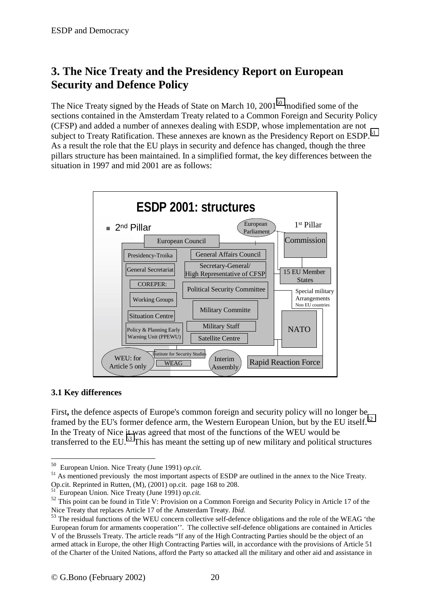## <span id="page-19-0"></span>**3. The Nice Treaty and the Presidency Report on European Security and Defence Policy**

The Nice Treaty signed by the Heads of State on March 10,  $2001^{50}$  modified some of the sections contained in the Amsterdam Treaty related to a Common Foreign and Security Policy (CFSP) and added a number of annexes dealing with ESDP, whose implementation are not subject to Treaty Ratification. These annexes are known as the Presidency Report on ESDP.<sup>51</sup> As a result the role that the EU plays in security and defence has changed, though the three pillars structure has been maintained. In a simplified format, the key differences between the situation in 1997 and mid 2001 are as follows:



#### **3.1 Key differences**

 $\overline{a}$ 

First**,** the defence aspects of Europe's common foreign and security policy will no longer be framed by the EU's former defence arm, the Western European Union, but by the EU itself.<sup>52</sup> In the Treaty of Nice it was agreed that most of the functions of the WEU would be transferred to the EU.<sup>53</sup> This has meant the setting up of new military and political structures

<sup>&</sup>lt;sup>50</sup> European Union. Nice Treaty (June 1991) *op.cit.* 51 As mentioned previously the most important aspects of ESDP are outlined in the annex to the Nice Treaty. Op.cit. Reprinted in Rutten, (M), (2001) op.cit. page 168 to 208.

<sup>51</sup> European Union. Nice Treaty (June 1991) *op.cit.*

<sup>&</sup>lt;sup>52</sup> This point can be found in Title V: Provision on a Common Foreign and Security Policy in Article 17 of the Nice Treaty that replaces Article 17 of the Amsterdam Treaty. *Ibid.*

<sup>&</sup>lt;sup>53</sup> The residual functions of the WEU concern collective self-defence obligations and the role of the WEAG 'the European forum for armaments cooperation''. The collective self-defence obligations are contained in Articles V of the Brussels Treaty. The article reads "If any of the High Contracting Parties should be the object of an armed attack in Europe, the other High Contracting Parties will, in accordance with the provisions of Article 51 of the Charter of the United Nations, afford the Party so attacked all the military and other aid and assistance in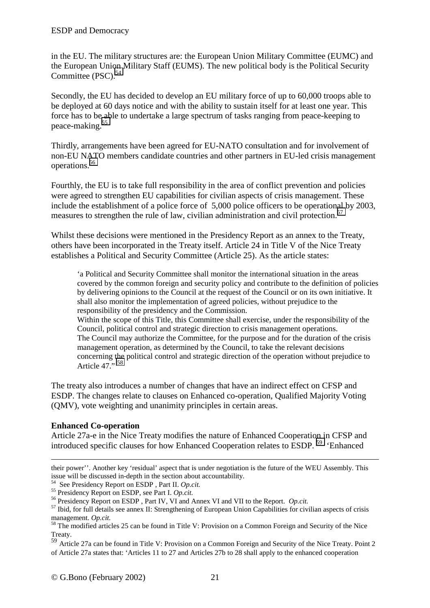in the EU. The military structures are: the European Union Military Committee (EUMC) and the European Union Military Staff (EUMS). The new political body is the Political Security Committee (PSC).<sup>54</sup>

Secondly, the EU has decided to develop an EU military force of up to 60,000 troops able to be deployed at 60 days notice and with the ability to sustain itself for at least one year. This force has to be able to undertake a large spectrum of tasks ranging from peace-keeping to peace-making.55

Thirdly, arrangements have been agreed for EU-NATO consultation and for involvement of non-EU NATO members candidate countries and other partners in EU-led crisis management operations.56

Fourthly, the EU is to take full responsibility in the area of conflict prevention and policies were agreed to strengthen EU capabilities for civilian aspects of crisis management. These include the establishment of a police force of 5,000 police officers to be operational by 2003, measures to strengthen the rule of law, civilian administration and civil protection.<sup>57</sup>

Whilst these decisions were mentioned in the Presidency Report as an annex to the Treaty, others have been incorporated in the Treaty itself. Article 24 in Title V of the Nice Treaty establishes a Political and Security Committee (Article 25). As the article states:

'a Political and Security Committee shall monitor the international situation in the areas covered by the common foreign and security policy and contribute to the definition of policies by delivering opinions to the Council at the request of the Council or on its own initiative. It shall also monitor the implementation of agreed policies, without prejudice to the responsibility of the presidency and the Commission.

Within the scope of this Title, this Committee shall exercise, under the responsibility of the Council, political control and strategic direction to crisis management operations. The Council may authorize the Committee, for the purpose and for the duration of the crisis management operation, as determined by the Council, to take the relevant decisions concerning the political control and strategic direction of the operation without prejudice to Article  $47 \cdot 58$ 

The treaty also introduces a number of changes that have an indirect effect on CFSP and ESDP. The changes relate to clauses on Enhanced co-operation, Qualified Majority Voting (QMV), vote weighting and unanimity principles in certain areas.

## **Enhanced Co-operation**

1

Article 27a-e in the Nice Treaty modifies the nature of Enhanced Cooperation in CFSP and introduced specific clauses for how Enhanced Cooperation relates to ESDP. 59 'Enhanced

their power''. Another key 'residual' aspect that is under negotiation is the future of the WEU Assembly. This issue will be discussed in-depth in the section about accountability.<br><sup>54</sup> See Presidency Report on ESDP, Part II. Op.cit.

<sup>&</sup>lt;sup>55</sup> Presidency Report on ESDP, see Part I. *Op.cit.*<br><sup>56</sup> Presidency Report on ESDP, Part IV, VI and Annex VI and VII to the Report. *Op.cit.*<br><sup>57</sup> Ibid, for full details see annex II: Strengthening of European Union Cap management. *Op.cit.*<br><sup>58</sup> The modified articles 25 can be found in Title V: Provision on a Common Foreign and Security of the Nice

Treaty.

<sup>59</sup> Article 27a can be found in Title V: Provision on a Common Foreign and Security of the Nice Treaty. Point 2 of Article 27a states that: 'Articles 11 to 27 and Articles 27b to 28 shall apply to the enhanced cooperation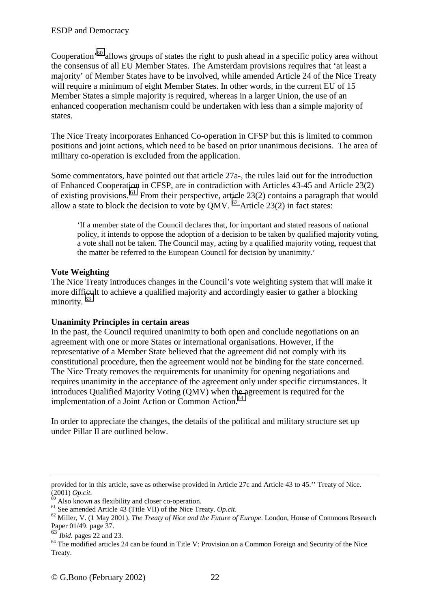Cooperation'60 allows groups of states the right to push ahead in a specific policy area without the consensus of all EU Member States. The Amsterdam provisions requires that 'at least a majority' of Member States have to be involved, while amended Article 24 of the Nice Treaty will require a minimum of eight Member States. In other words, in the current EU of 15 Member States a simple majority is required, whereas in a larger Union, the use of an enhanced cooperation mechanism could be undertaken with less than a simple majority of states.

The Nice Treaty incorporates Enhanced Co-operation in CFSP but this is limited to common positions and joint actions, which need to be based on prior unanimous decisions. The area of military co-operation is excluded from the application.

Some commentators, have pointed out that article 27a-, the rules laid out for the introduction of Enhanced Cooperation in CFSP, are in contradiction with Articles 43-45 and Article 23(2) of existing provisions.  $^{61}$  From their perspective, article 23(2) contains a paragraph that would allow a state to block the decision to vote by QMV.  $^{62}$  Article 23(2) in fact states:

'If a member state of the Council declares that, for important and stated reasons of national policy, it intends to oppose the adoption of a decision to be taken by qualified majority voting, a vote shall not be taken. The Council may, acting by a qualified majority voting, request that the matter be referred to the European Council for decision by unanimity.'

### **Vote Weighting**

The Nice Treaty introduces changes in the Council's vote weighting system that will make it more difficult to achieve a qualified majority and accordingly easier to gather a blocking minority.<sup>63</sup>

#### **Unanimity Principles in certain areas**

In the past, the Council required unanimity to both open and conclude negotiations on an agreement with one or more States or international organisations. However, if the representative of a Member State believed that the agreement did not comply with its constitutional procedure, then the agreement would not be binding for the state concerned. The Nice Treaty removes the requirements for unanimity for opening negotiations and requires unanimity in the acceptance of the agreement only under specific circumstances. It introduces Qualified Majority Voting (QMV) when the agreement is required for the implementation of a Joint Action or Common Action.<sup>64</sup>

In order to appreciate the changes, the details of the political and military structure set up under Pillar II are outlined below.

1

provided for in this article, save as otherwise provided in Article 27c and Article 43 to 45.'' Treaty of Nice. (2001)  $Op.cit$ .<br><sup>60</sup> Also known as flexibility and closer co-operation.<br><sup>61</sup> See amended Article 43 (Title VII) of the Nice Treaty. *Op.cit*.

<sup>&</sup>lt;sup>62</sup> Miller, V. (1 May 2001). *The Treaty of Nice and the Future of Europe*. London, House of Commons Research Paper 01/49. page 37.<br><sup>63</sup> *Ibid.* pages 22 and 23.

<sup>&</sup>lt;sup>64</sup> The modified articles 24 can be found in Title V: Provision on a Common Foreign and Security of the Nice Treaty.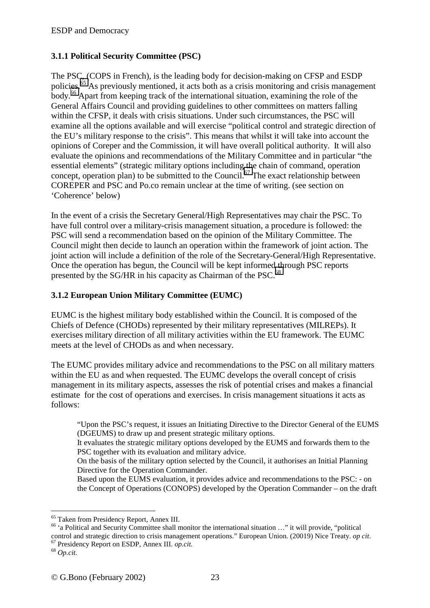## <span id="page-22-0"></span>**3.1.1 Political Security Committee (PSC)**

The PSC, (COPS in French), is the leading body for decision-making on CFSP and ESDP policies.65 As previously mentioned, it acts both as a crisis monitoring and crisis management body.66 Apart from keeping track of the international situation, examining the role of the General Affairs Council and providing guidelines to other committees on matters falling within the CFSP, it deals with crisis situations. Under such circumstances, the PSC will examine all the options available and will exercise "political control and strategic direction of the EU's military response to the crisis". This means that whilst it will take into account the opinions of Coreper and the Commission, it will have overall political authority. It will also evaluate the opinions and recommendations of the Military Committee and in particular "the essential elements" (strategic military options including the chain of command, operation concept, operation plan) to be submitted to the Council.<sup>67</sup> The exact relationship between COREPER and PSC and Po.co remain unclear at the time of writing. (see section on 'Coherence' below)

In the event of a crisis the Secretary General/High Representatives may chair the PSC. To have full control over a military-crisis management situation, a procedure is followed: the PSC will send a recommendation based on the opinion of the Military Committee. The Council might then decide to launch an operation within the framework of joint action. The joint action will include a definition of the role of the Secretary-General/High Representative. Once the operation has begun, the Council will be kept informed through PSC reports presented by the SG/HR in his capacity as Chairman of the PSC.<sup>68</sup>

## **3.1.2 European Union Military Committee (EUMC)**

EUMC is the highest military body established within the Council. It is composed of the Chiefs of Defence (CHODs) represented by their military representatives (MILREPs). It exercises military direction of all military activities within the EU framework. The EUMC meets at the level of CHODs as and when necessary.

The EUMC provides military advice and recommendations to the PSC on all military matters within the EU as and when requested. The EUMC develops the overall concept of crisis management in its military aspects, assesses the risk of potential crises and makes a financial estimate for the cost of operations and exercises. In crisis management situations it acts as follows:

"Upon the PSC's request, it issues an Initiating Directive to the Director General of the EUMS (DGEUMS) to draw up and present strategic military options.

It evaluates the strategic military options developed by the EUMS and forwards them to the PSC together with its evaluation and military advice.

On the basis of the military option selected by the Council, it authorises an Initial Planning Directive for the Operation Commander.

Based upon the EUMS evaluation, it provides advice and recommendations to the PSC: - on the Concept of Operations (CONOPS) developed by the Operation Commander – on the draft

<sup>65</sup> Taken from Presidency Report, Annex III.

<sup>66 &#</sup>x27;a Political and Security Committee shall monitor the international situation …" it will provide, "political control and strategic direction to crisis management operations." European Union. (20019) Nice Treaty. *op cit*. <sup>67</sup> Presidency Report on ESDP, Annex III. *op.cit.* 68 *Op.cit.*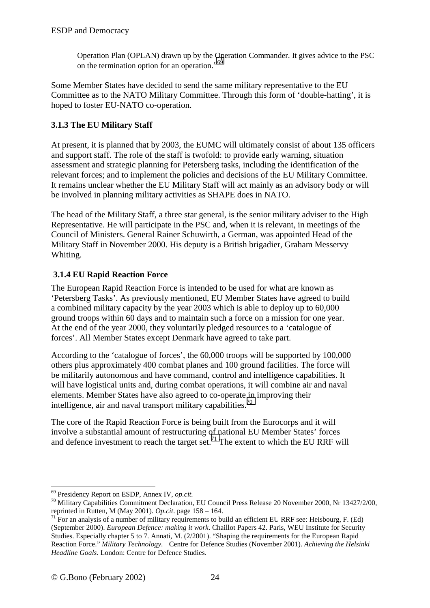<span id="page-23-0"></span>Operation Plan (OPLAN) drawn up by the Operation Commander. It gives advice to the PSC on the termination option for an operation."<sup>69</sup>

Some Member States have decided to send the same military representative to the EU Committee as to the NATO Military Committee. Through this form of 'double-hatting', it is hoped to foster EU-NATO co-operation.

## **3.1.3 The EU Military Staff**

At present, it is planned that by 2003, the EUMC will ultimately consist of about 135 officers and support staff. The role of the staff is twofold: to provide early warning, situation assessment and strategic planning for Petersberg tasks, including the identification of the relevant forces; and to implement the policies and decisions of the EU Military Committee. It remains unclear whether the EU Military Staff will act mainly as an advisory body or will be involved in planning military activities as SHAPE does in NATO.

The head of the Military Staff, a three star general, is the senior military adviser to the High Representative. He will participate in the PSC and, when it is relevant, in meetings of the Council of Ministers. General Rainer Schuwirth, a German, was appointed Head of the Military Staff in November 2000. His deputy is a British brigadier, Graham Messervy Whiting.

## **3.1.4 EU Rapid Reaction Force**

The European Rapid Reaction Force is intended to be used for what are known as 'Petersberg Tasks'. As previously mentioned, EU Member States have agreed to build a combined military capacity by the year 2003 which is able to deploy up to 60,000 ground troops within 60 days and to maintain such a force on a mission for one year. At the end of the year 2000, they voluntarily pledged resources to a 'catalogue of forces'. All Member States except Denmark have agreed to take part.

According to the 'catalogue of forces', the 60,000 troops will be supported by 100,000 others plus approximately 400 combat planes and 100 ground facilities. The force will be militarily autonomous and have command, control and intelligence capabilities. It will have logistical units and, during combat operations, it will combine air and naval elements. Member States have also agreed to co-operate in improving their intelligence, air and naval transport military capabilities.<sup>70</sup>

The core of the Rapid Reaction Force is being built from the Eurocorps and it will involve a substantial amount of restructuring of national EU Member States' forces and defence investment to reach the target set.<sup>71</sup> The extent to which the EU RRF will

 $69$  Presidency Report on ESDP, Annex IV, op.cit.

<sup>&</sup>lt;sup>70</sup> Military Capabilities Commitment Declaration, EU Council Press Release 20 November 2000, Nr 13427/2/00, reprinted in Rutten, M (May 2001). *Op.cit.* page 158 – 164.<br><sup>71</sup> For an analysis of a number of military requirements to build an efficient EU RRF see: Heisbourg, F. (Ed)

<sup>(</sup>September 2000). *European Defence: making it work*. Chaillot Papers 42. Paris, WEU Institute for Security Studies. Especially chapter 5 to 7. Annati, M. (2/2001). "Shaping the requirements for the European Rapid Reaction Force." *Military Technology*. Centre for Defence Studies (November 2001). *Achieving the Helsinki Headline Goals.* London: Centre for Defence Studies.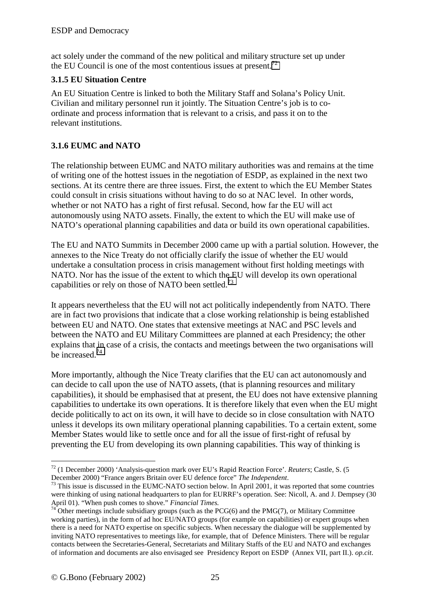<span id="page-24-0"></span>act solely under the command of the new political and military structure set up under the EU Council is one of the most contentious issues at present.<sup>72</sup>

## **3.1.5 EU Situation Centre**

An EU Situation Centre is linked to both the Military Staff and Solana's Policy Unit. Civilian and military personnel run it jointly. The Situation Centre's job is to coordinate and process information that is relevant to a crisis, and pass it on to the relevant institutions.

## **3.1.6 EUMC and NATO**

The relationship between EUMC and NATO military authorities was and remains at the time of writing one of the hottest issues in the negotiation of ESDP, as explained in the next two sections. At its centre there are three issues. First, the extent to which the EU Member States could consult in crisis situations without having to do so at NAC level. In other words, whether or not NATO has a right of first refusal. Second, how far the EU will act autonomously using NATO assets. Finally, the extent to which the EU will make use of NATO's operational planning capabilities and data or build its own operational capabilities.

The EU and NATO Summits in December 2000 came up with a partial solution. However, the annexes to the Nice Treaty do not officially clarify the issue of whether the EU would undertake a consultation process in crisis management without first holding meetings with NATO. Nor has the issue of the extent to which the EU will develop its own operational capabilities or rely on those of NATO been settled.<sup>73</sup>

It appears nevertheless that the EU will not act politically independently from NATO. There are in fact two provisions that indicate that a close working relationship is being established between EU and NATO. One states that extensive meetings at NAC and PSC levels and between the NATO and EU Military Committees are planned at each Presidency; the other explains that in case of a crisis, the contacts and meetings between the two organisations will be increased.74

More importantly, although the Nice Treaty clarifies that the EU can act autonomously and can decide to call upon the use of NATO assets, (that is planning resources and military capabilities), it should be emphasised that at present, the EU does not have extensive planning capabilities to undertake its own operations. It is therefore likely that even when the EU might decide politically to act on its own, it will have to decide so in close consultation with NATO unless it develops its own military operational planning capabilities. To a certain extent, some Member States would like to settle once and for all the issue of first-right of refusal by preventing the EU from developing its own planning capabilities. This way of thinking is

 $\overline{a}$ 72 (1 December 2000) 'Analysis-question mark over EU's Rapid Reaction Force'. *Reuters*; Castle, S. (5

<sup>&</sup>lt;sup>73</sup> This issue is discussed in the EUMC-NATO section below. In April 2001, it was reported that some countries were thinking of using national headquarters to plan for EURRF's operation. See: Nicoll, A. and J. Dempsey (30

April 01). "When push comes to shove." *Financial Times*.<br><sup>74</sup> Other meetings include subsidiary groups (such as the PCG(6) and the PMG(7), or Military Committee working parties), in the form of ad hoc EU/NATO groups (for example on capabilities) or expert groups when there is a need for NATO expertise on specific subjects. When necessary the dialogue will be supplemented by inviting NATO representatives to meetings like, for example, that of Defence Ministers. There will be regular contacts between the Secretaries-General, Secretariats and Military Staffs of the EU and NATO and exchanges of information and documents are also envisaged see Presidency Report on ESDP (Annex VII, part II.). *op.cit*.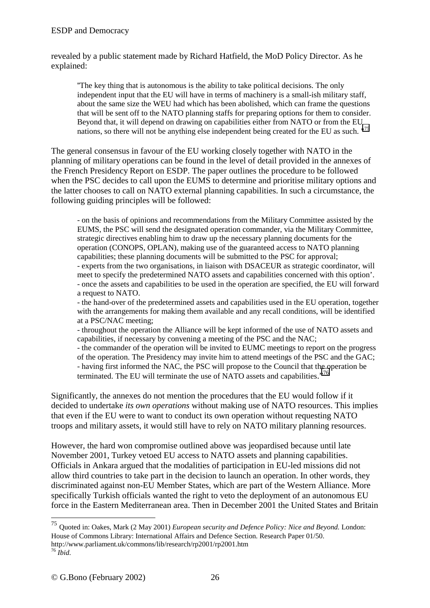#### ESDP and Democracy

revealed by a public statement made by Richard Hatfield, the MoD Policy Director. As he explained:

''The key thing that is autonomous is the ability to take political decisions. The only independent input that the EU will have in terms of machinery is a small-ish military staff, about the same size the WEU had which has been abolished, which can frame the questions that will be sent off to the NATO planning staffs for preparing options for them to consider. Beyond that, it will depend on drawing on capabilities either from NATO or from the EU nations, so there will not be anything else independent being created for the EU as such. "<sup>75</sup>

The general consensus in favour of the EU working closely together with NATO in the planning of military operations can be found in the level of detail provided in the annexes of the French Presidency Report on ESDP. The paper outlines the procedure to be followed when the PSC decides to call upon the EUMS to determine and prioritise military options and the latter chooses to call on NATO external planning capabilities. In such a circumstance, the following guiding principles will be followed:

- on the basis of opinions and recommendations from the Military Committee assisted by the EUMS, the PSC will send the designated operation commander, via the Military Committee, strategic directives enabling him to draw up the necessary planning documents for the operation (CONOPS, OPLAN), making use of the guaranteed access to NATO planning capabilities; these planning documents will be submitted to the PSC for approval; - experts from the two organisations, in liaison with DSACEUR as strategic coordinator, will meet to specify the predetermined NATO assets and capabilities concerned with this option'. - once the assets and capabilities to be used in the operation are specified, the EU will forward a request to NATO.

- the hand-over of the predetermined assets and capabilities used in the EU operation, together with the arrangements for making them available and any recall conditions, will be identified at a PSC/NAC meeting;

- throughout the operation the Alliance will be kept informed of the use of NATO assets and capabilities, if necessary by convening a meeting of the PSC and the NAC;

- the commander of the operation will be invited to EUMC meetings to report on the progress of the operation. The Presidency may invite him to attend meetings of the PSC and the GAC; - having first informed the NAC, the PSC will propose to the Council that the operation be terminated. The EU will terminate the use of NATO assets and capabilities."<sup>76</sup>

Significantly, the annexes do not mention the procedures that the EU would follow if it decided to undertake *its own operations* without making use of NATO resources. This implies that even if the EU were to want to conduct its own operation without requesting NATO troops and military assets, it would still have to rely on NATO military planning resources.

However, the hard won compromise outlined above was jeopardised because until late November 2001, Turkey vetoed EU access to NATO assets and planning capabilities. Officials in Ankara argued that the modalities of participation in EU-led missions did not allow third countries to take part in the decision to launch an operation. In other words, they discriminated against non-EU Member States, which are part of the Western Alliance. More specifically Turkish officials wanted the right to veto the deployment of an autonomous EU force in the Eastern Mediterranean area. Then in December 2001 the United States and Britain

<sup>75</sup> Quoted in: Oakes, Mark (2 May 2001) *European security and Defence Policy: Nice and Beyond.* London: House of Commons Library: International Affairs and Defence Section. Research Paper 01/50.

http://www.parliament.uk/commons/lib/research/rp2001/rp2001.htm <sup>76</sup> *Ibid.*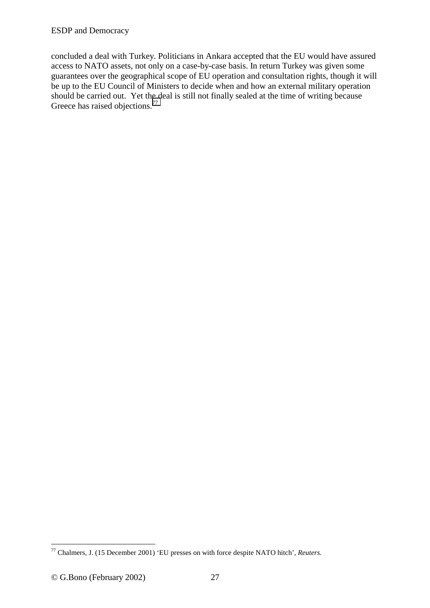concluded a deal with Turkey. Politicians in Ankara accepted that the EU would have assured access to NATO assets, not only on a case-by-case basis. In return Turkey was given some guarantees over the geographical scope of EU operation and consultation rights, though it will be up to the EU Council of Ministers to decide when and how an external military operation should be carried out. Yet the deal is still not finally sealed at the time of writing because Greece has raised objections.<sup>77</sup>

<sup>77</sup> Chalmers, J. (15 December 2001) 'EU presses on with force despite NATO hitch', *Reuters.*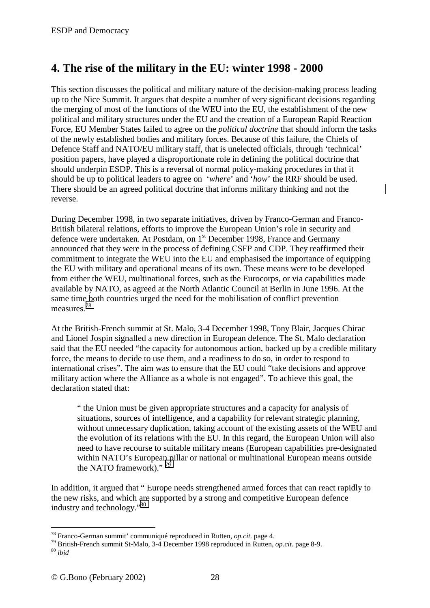## <span id="page-27-0"></span>**4. The rise of the military in the EU: winter 1998 - 2000**

This section discusses the political and military nature of the decision-making process leading up to the Nice Summit. It argues that despite a number of very significant decisions regarding the merging of most of the functions of the WEU into the EU, the establishment of the new political and military structures under the EU and the creation of a European Rapid Reaction Force, EU Member States failed to agree on the *political doctrine* that should inform the tasks of the newly established bodies and military forces. Because of this failure, the Chiefs of Defence Staff and NATO/EU military staff, that is unelected officials, through 'technical' position papers, have played a disproportionate role in defining the political doctrine that should underpin ESDP. This is a reversal of normal policy-making procedures in that it should be up to political leaders to agree on '*where*' and '*how*' the RRF should be used. There should be an agreed political doctrine that informs military thinking and not the reverse.

During December 1998, in two separate initiatives, driven by Franco-German and Franco-British bilateral relations, efforts to improve the European Union's role in security and defence were undertaken. At Postdam, on 1<sup>st</sup> December 1998, France and Germany announced that they were in the process of defining CSFP and CDP. They reaffirmed their commitment to integrate the WEU into the EU and emphasised the importance of equipping the EU with military and operational means of its own. These means were to be developed from either the WEU, multinational forces, such as the Eurocorps, or via capabilities made available by NATO, as agreed at the North Atlantic Council at Berlin in June 1996. At the same time both countries urged the need for the mobilisation of conflict prevention measures.78

At the British-French summit at St. Malo, 3-4 December 1998, Tony Blair, Jacques Chirac and Lionel Jospin signalled a new direction in European defence. The St. Malo declaration said that the EU needed "the capacity for autonomous action, backed up by a credible military force, the means to decide to use them, and a readiness to do so, in order to respond to international crises". The aim was to ensure that the EU could "take decisions and approve military action where the Alliance as a whole is not engaged". To achieve this goal, the declaration stated that:

" the Union must be given appropriate structures and a capacity for analysis of situations, sources of intelligence, and a capability for relevant strategic planning, without unnecessary duplication, taking account of the existing assets of the WEU and the evolution of its relations with the EU. In this regard, the European Union will also need to have recourse to suitable military means (European capabilities pre-designated within NATO's European pillar or national or multinational European means outside the NATO framework)."<sup>79</sup>

In addition, it argued that " Europe needs strengthened armed forces that can react rapidly to the new risks, and which are supported by a strong and competitive European defence industry and technology."80

<sup>78</sup> Franco-German summit' communiqué reproduced in Rutten, *op.cit*. page 4. 79 British-French summit St-Malo, 3-4 December 1998 reproduced in Rutten, *op.cit.* page 8-9. 80 *ibid*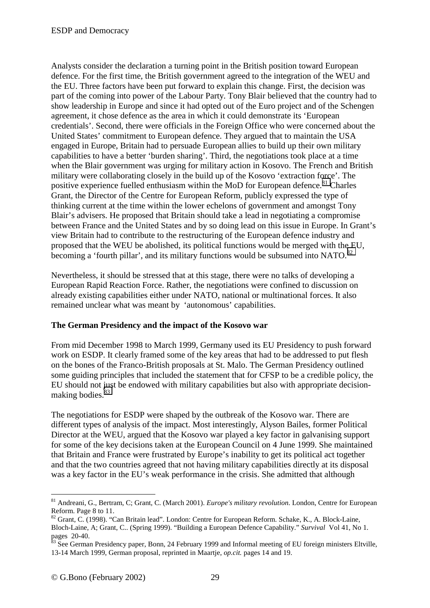Analysts consider the declaration a turning point in the British position toward European defence. For the first time, the British government agreed to the integration of the WEU and the EU. Three factors have been put forward to explain this change. First, the decision was part of the coming into power of the Labour Party. Tony Blair believed that the country had to show leadership in Europe and since it had opted out of the Euro project and of the Schengen agreement, it chose defence as the area in which it could demonstrate its 'European credentials'. Second, there were officials in the Foreign Office who were concerned about the United States' commitment to European defence. They argued that to maintain the USA engaged in Europe, Britain had to persuade European allies to build up their own military capabilities to have a better 'burden sharing'. Third, the negotiations took place at a time when the Blair government was urging for military action in Kosovo. The French and British military were collaborating closely in the build up of the Kosovo 'extraction force'. The positive experience fuelled enthusiasm within the MoD for European defence.<sup>81</sup> Charles Grant, the Director of the Centre for European Reform, publicly expressed the type of thinking current at the time within the lower echelons of government and amongst Tony Blair's advisers. He proposed that Britain should take a lead in negotiating a compromise between France and the United States and by so doing lead on this issue in Europe. In Grant's view Britain had to contribute to the restructuring of the European defence industry and proposed that the WEU be abolished, its political functions would be merged with the EU, becoming a 'fourth pillar', and its military functions would be subsumed into NATO. $^{82}$ 

Nevertheless, it should be stressed that at this stage, there were no talks of developing a European Rapid Reaction Force. Rather, the negotiations were confined to discussion on already existing capabilities either under NATO, national or multinational forces. It also remained unclear what was meant by 'autonomous' capabilities.

#### **The German Presidency and the impact of the Kosovo war**

From mid December 1998 to March 1999, Germany used its EU Presidency to push forward work on ESDP. It clearly framed some of the key areas that had to be addressed to put flesh on the bones of the Franco-British proposals at St. Malo. The German Presidency outlined some guiding principles that included the statement that for CFSP to be a credible policy, the EU should not just be endowed with military capabilities but also with appropriate decisionmaking bodies.<sup>83</sup>

The negotiations for ESDP were shaped by the outbreak of the Kosovo war. There are different types of analysis of the impact. Most interestingly, Alyson Bailes, former Political Director at the WEU, argued that the Kosovo war played a key factor in galvanising support for some of the key decisions taken at the European Council on 4 June 1999. She maintained that Britain and France were frustrated by Europe's inability to get its political act together and that the two countries agreed that not having military capabilities directly at its disposal was a key factor in the EU's weak performance in the crisis. She admitted that although

<sup>81</sup> Andreani, G., Bertram, C; Grant, C. (March 2001). *Europe's military revolution*. London, Centre for European Reform. Page 8 to 11.

<sup>&</sup>lt;sup>82</sup> Grant, C. (1998). "Can Britain lead". London: Centre for European Reform. Schake, K., A. Block-Laine, Bloch-Laine, A; Grant, C.. (Spring 1999). "Building a European Defence Capability." *Survival* Vol 41, No 1. pages 20-40.

<sup>&</sup>lt;sup>83</sup> See German Presidency paper, Bonn, 24 February 1999 and Informal meeting of EU foreign ministers Eltville, 13-14 March 1999, German proposal, reprinted in Maartje, *op.cit.* pages 14 and 19.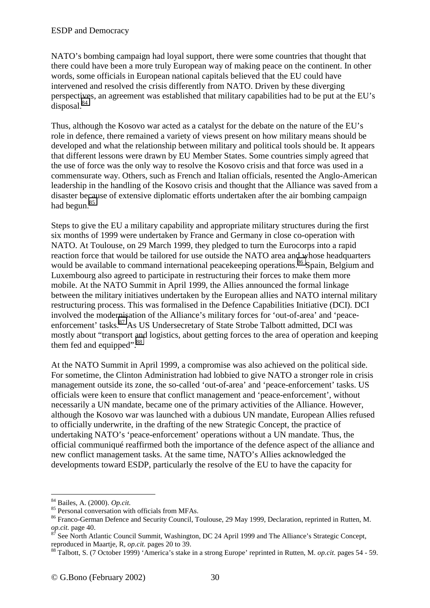NATO's bombing campaign had loyal support, there were some countries that thought that there could have been a more truly European way of making peace on the continent. In other words, some officials in European national capitals believed that the EU could have intervened and resolved the crisis differently from NATO. Driven by these diverging perspectives, an agreement was established that military capabilities had to be put at the EU's disposal.<sup>84</sup>

Thus, although the Kosovo war acted as a catalyst for the debate on the nature of the EU's role in defence, there remained a variety of views present on how military means should be developed and what the relationship between military and political tools should be. It appears that different lessons were drawn by EU Member States. Some countries simply agreed that the use of force was the only way to resolve the Kosovo crisis and that force was used in a commensurate way. Others, such as French and Italian officials, resented the Anglo-American leadership in the handling of the Kosovo crisis and thought that the Alliance was saved from a disaster because of extensive diplomatic efforts undertaken after the air bombing campaign had begun.<sup>85</sup>

Steps to give the EU a military capability and appropriate military structures during the first six months of 1999 were undertaken by France and Germany in close co-operation with NATO. At Toulouse, on 29 March 1999, they pledged to turn the Eurocorps into a rapid reaction force that would be tailored for use outside the NATO area and whose headquarters would be available to command international peacekeeping operations.<sup>86</sup> Spain, Belgium and Luxembourg also agreed to participate in restructuring their forces to make them more mobile. At the NATO Summit in April 1999, the Allies announced the formal linkage between the military initiatives undertaken by the European allies and NATO internal military restructuring process. This was formalised in the Defence Capabilities Initiative (DCI). DCI involved the modernisation of the Alliance's military forces for 'out-of-area' and 'peaceenforcement' tasks.<sup>87</sup> As US Undersecretary of State Strobe Talbott admitted, DCI was mostly about "transport and logistics, about getting forces to the area of operation and keeping them fed and equipped". $88$ 

At the NATO Summit in April 1999, a compromise was also achieved on the political side. For sometime, the Clinton Administration had lobbied to give NATO a stronger role in crisis management outside its zone, the so-called 'out-of-area' and 'peace-enforcement' tasks. US officials were keen to ensure that conflict management and 'peace-enforcement', without necessarily a UN mandate, became one of the primary activities of the Alliance. However, although the Kosovo war was launched with a dubious UN mandate, European Allies refused to officially underwrite, in the drafting of the new Strategic Concept, the practice of undertaking NATO's 'peace-enforcement' operations without a UN mandate. Thus, the official communiqué reaffirmed both the importance of the defence aspect of the alliance and new conflict management tasks. At the same time, NATO's Allies acknowledged the developments toward ESDP, particularly the resolve of the EU to have the capacity for

<sup>&</sup>lt;sup>84</sup> Bailes, A. (2000). *Op.cit.* <sup>85</sup> Personal conversation with officials from MFAs.

<sup>&</sup>lt;sup>86</sup> Franco-German Defence and Security Council, Toulouse, 29 May 1999, Declaration, reprinted in Rutten, M. *op.cit.* page 40.

*op.cit.* page 40. 87 See North Atlantic Council Summit, Washington, DC 24 April 1999 and The Alliance's Strategic Concept,

reproduced in Maartje, R, *op.cit.* pages 20 to 39.<br><sup>88</sup> Talbott, S. (7 October 1999) 'America's stake in a strong Europe' reprinted in Rutten, M. *op.cit.* pages 54 - 59.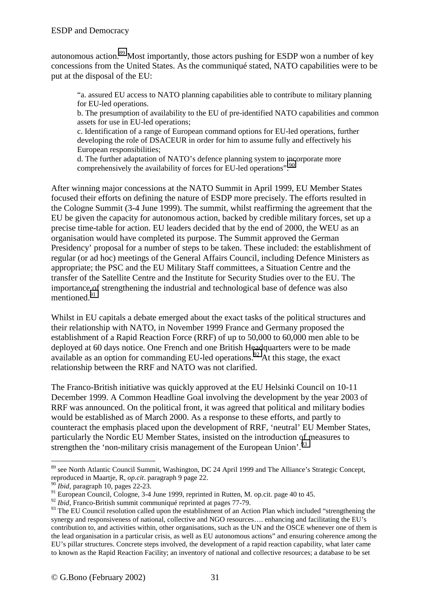autonomous action.89 Most importantly, those actors pushing for ESDP won a number of key concessions from the United States. As the communiqué stated, NATO capabilities were to be put at the disposal of the EU:

"a. assured EU access to NATO planning capabilities able to contribute to military planning for EU-led operations.

b. The presumption of availability to the EU of pre-identified NATO capabilities and common assets for use in EU-led operations;

c. Identification of a range of European command options for EU-led operations, further developing the role of DSACEUR in order for him to assume fully and effectively his European responsibilities;

d. The further adaptation of NATO's defence planning system to incorporate more comprehensively the availability of forces for EU-led operations". 90

After winning major concessions at the NATO Summit in April 1999, EU Member States focused their efforts on defining the nature of ESDP more precisely. The efforts resulted in the Cologne Summit (3-4 June 1999). The summit, whilst reaffirming the agreement that the EU be given the capacity for autonomous action, backed by credible military forces, set up a precise time-table for action. EU leaders decided that by the end of 2000, the WEU as an organisation would have completed its purpose. The Summit approved the German Presidency' proposal for a number of steps to be taken. These included: the establishment of regular (or ad hoc) meetings of the General Affairs Council, including Defence Ministers as appropriate; the PSC and the EU Military Staff committees, a Situation Centre and the transfer of the Satellite Centre and the Institute for Security Studies over to the EU. The importance of strengthening the industrial and technological base of defence was also mentioned<sup>91</sup>

Whilst in EU capitals a debate emerged about the exact tasks of the political structures and their relationship with NATO, in November 1999 France and Germany proposed the establishment of a Rapid Reaction Force (RRF) of up to 50,000 to 60,000 men able to be deployed at 60 days notice. One French and one British Headquarters were to be made available as an option for commanding EU-led operations.<sup>92</sup> At this stage, the exact relationship between the RRF and NATO was not clarified.

The Franco-British initiative was quickly approved at the EU Helsinki Council on 10-11 December 1999. A Common Headline Goal involving the development by the year 2003 of RRF was announced. On the political front, it was agreed that political and military bodies would be established as of March 2000. As a response to these efforts, and partly to counteract the emphasis placed upon the development of RRF, 'neutral' EU Member States, particularly the Nordic EU Member States, insisted on the introduction of measures to strengthen the 'non-military crisis management of the European Union'.<sup>93</sup>

<sup>&</sup>lt;sup>89</sup> see North Atlantic Council Summit, Washington, DC 24 April 1999 and The Alliance's Strategic Concept, reproduced in Maartje, R, *op.cit*. paragraph 9 page 22.

 $\int$ *Ibid*, paragraph 10, pages 22-23.

<sup>&</sup>lt;sup>91</sup> European Council, Cologne, 3-4 June 1999, reprinted in Rutten, M. op.cit. page 40 to 45.

<sup>92</sup> *Ibid*, Franco-British summit communiqué reprinted at pages 77-79.

<sup>&</sup>lt;sup>93</sup> The EU Council resolution called upon the establishment of an Action Plan which included "strengthening the synergy and responsiveness of national, collective and NGO resources…. enhancing and facilitating the EU's contribution to, and activities within, other organisations, such as the UN and the OSCE whenever one of them is the lead organisation in a particular crisis, as well as EU autonomous actions" and ensuring coherence among the EU's pillar structures. Concrete steps involved, the development of a rapid reaction capability, what later came to known as the Rapid Reaction Facility; an inventory of national and collective resources; a database to be set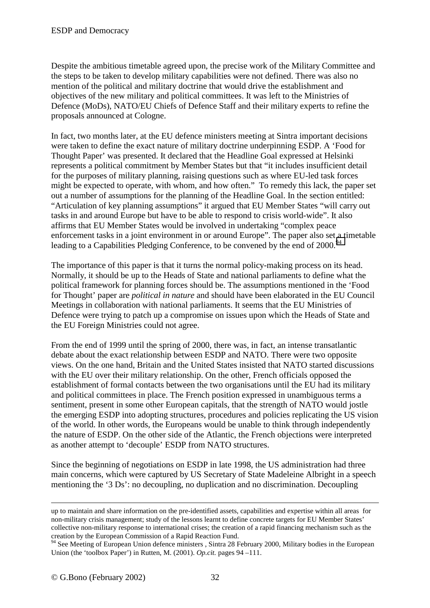Despite the ambitious timetable agreed upon, the precise work of the Military Committee and the steps to be taken to develop military capabilities were not defined. There was also no mention of the political and military doctrine that would drive the establishment and objectives of the new military and political committees. It was left to the Ministries of Defence (MoDs), NATO/EU Chiefs of Defence Staff and their military experts to refine the proposals announced at Cologne.

In fact, two months later, at the EU defence ministers meeting at Sintra important decisions were taken to define the exact nature of military doctrine underpinning ESDP. A 'Food for Thought Paper' was presented. It declared that the Headline Goal expressed at Helsinki represents a political commitment by Member States but that "it includes insufficient detail for the purposes of military planning, raising questions such as where EU-led task forces might be expected to operate, with whom, and how often." To remedy this lack, the paper set out a number of assumptions for the planning of the Headline Goal. In the section entitled: "Articulation of key planning assumptions" it argued that EU Member States "will carry out tasks in and around Europe but have to be able to respond to crisis world-wide". It also affirms that EU Member States would be involved in undertaking "complex peace enforcement tasks in a joint environment in or around Europe". The paper also set a timetable leading to a Capabilities Pledging Conference, to be convened by the end of 2000.<sup>94</sup>

The importance of this paper is that it turns the normal policy-making process on its head. Normally, it should be up to the Heads of State and national parliaments to define what the political framework for planning forces should be. The assumptions mentioned in the 'Food for Thought' paper are *political in nature* and should have been elaborated in the EU Council Meetings in collaboration with national parliaments. It seems that the EU Ministries of Defence were trying to patch up a compromise on issues upon which the Heads of State and the EU Foreign Ministries could not agree.

From the end of 1999 until the spring of 2000, there was, in fact, an intense transatlantic debate about the exact relationship between ESDP and NATO. There were two opposite views. On the one hand, Britain and the United States insisted that NATO started discussions with the EU over their military relationship. On the other, French officials opposed the establishment of formal contacts between the two organisations until the EU had its military and political committees in place. The French position expressed in unambiguous terms a sentiment, present in some other European capitals, that the strength of NATO would jostle the emerging ESDP into adopting structures, procedures and policies replicating the US vision of the world. In other words, the Europeans would be unable to think through independently the nature of ESDP. On the other side of the Atlantic, the French objections were interpreted as another attempt to 'decouple' ESDP from NATO structures.

Since the beginning of negotiations on ESDP in late 1998, the US administration had three main concerns, which were captured by US Secretary of State Madeleine Albright in a speech mentioning the '3 Ds': no decoupling, no duplication and no discrimination. Decoupling

1

up to maintain and share information on the pre-identified assets, capabilities and expertise within all areas for non-military crisis management; study of the lessons learnt to define concrete targets for EU Member States' collective non-military response to international crises; the creation of a rapid financing mechanism such as the creation by the European Commission of a Rapid Reaction Fund.

<sup>&</sup>lt;sup>94</sup> See Meeting of European Union defence ministers, Sintra 28 February 2000, Military bodies in the European Union (the 'toolbox Paper') in Rutten, M. (2001). *Op.cit.* pages 94 –111.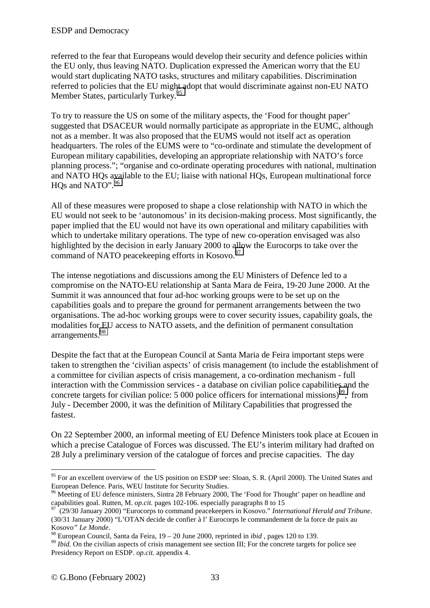referred to the fear that Europeans would develop their security and defence policies within the EU only, thus leaving NATO. Duplication expressed the American worry that the EU would start duplicating NATO tasks, structures and military capabilities. Discrimination referred to policies that the EU might adopt that would discriminate against non-EU NATO Member States, particularly Turkey.<sup>95</sup>

To try to reassure the US on some of the military aspects, the 'Food for thought paper' suggested that DSACEUR would normally participate as appropriate in the EUMC, although not as a member. It was also proposed that the EUMS would not itself act as operation headquarters. The roles of the EUMS were to "co-ordinate and stimulate the development of European military capabilities, developing an appropriate relationship with NATO's force planning process."; "organise and co-ordinate operating procedures with national, multination and NATO HQs available to the EU; liaise with national HQs, European multinational force HOs and NATO".<sup>96</sup>

All of these measures were proposed to shape a close relationship with NATO in which the EU would not seek to be 'autonomous' in its decision-making process. Most significantly, the paper implied that the EU would not have its own operational and military capabilities with which to undertake military operations. The type of new co-operation envisaged was also highlighted by the decision in early January 2000 to allow the Eurocorps to take over the command of NATO peacekeeping efforts in Kosovo.<sup>97</sup>

The intense negotiations and discussions among the EU Ministers of Defence led to a compromise on the NATO-EU relationship at Santa Mara de Feira, 19-20 June 2000. At the Summit it was announced that four ad-hoc working groups were to be set up on the capabilities goals and to prepare the ground for permanent arrangements between the two organisations. The ad-hoc working groups were to cover security issues, capability goals, the modalities for EU access to NATO assets, and the definition of permanent consultation arrangements.98

Despite the fact that at the European Council at Santa Maria de Feira important steps were taken to strengthen the 'civilian aspects' of crisis management (to include the establishment of a committee for civilian aspects of crisis management, a co-ordination mechanism - full interaction with the Commission services - a database on civilian police capabilities and the concrete targets for civilian police:  $5\,000$  police officers for international missions)<sup>99</sup>, from July - December 2000, it was the definition of Military Capabilities that progressed the fastest.

On 22 September 2000, an informal meeting of EU Defence Ministers took place at Ecouen in which a precise Catalogue of Forces was discussed. The EU's interim military had drafted on 28 July a preliminary version of the catalogue of forces and precise capacities. The day

<sup>&</sup>lt;sup>95</sup> For an excellent overview of the US position on ESDP see: Sloan, S. R. (April 2000). The United States and European Defence. Paris, WEU Institute for Security Studies.

<sup>&</sup>lt;sup>96</sup> Meeting of EU defence ministers, Sintra 28 February 2000, The 'Food for Thought' paper on headline and capabilities goal. Rutten, M. *op.cit.* pages 102-106. especially paragraphs 8 to 15

capabilities goal. Rutten, M. *op.cit.* pages 102-106. especially paragraphs 8 to 15 97 (29/30 January 2000) "Eurocorps to command peacekeepers in Kosovo." *International Herald and Tribune*. (30/31 January 2000) "L'OTAN decide de confier à l' Eurocorps le commandement de la force de paix au

<sup>&</sup>lt;sup>98</sup> European Council, Santa da Feira,  $19 - 20$  June 2000, reprinted in *ibid*, pages 120 to 139.<br><sup>99</sup> *Ibid*. On the civilian aspects of crisis management see section III; For the concrete targets for police see Presidency Report on ESDP. *op.cit.* appendix 4.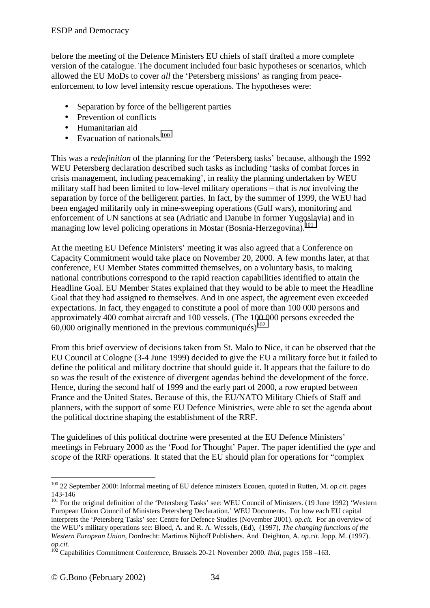before the meeting of the Defence Ministers EU chiefs of staff drafted a more complete version of the catalogue. The document included four basic hypotheses or scenarios, which allowed the EU MoDs to cover *all* the 'Petersberg missions' as ranging from peaceenforcement to low level intensity rescue operations. The hypotheses were:

- Separation by force of the belligerent parties
- Prevention of conflicts
- Humanitarian aid
- Evacuation of nationals. $100$

This was a *redefinition* of the planning for the 'Petersberg tasks' because, although the 1992 WEU Petersberg declaration described such tasks as including 'tasks of combat forces in crisis management, including peacemaking', in reality the planning undertaken by WEU military staff had been limited to low-level military operations – that is *not* involving the separation by force of the belligerent parties. In fact, by the summer of 1999, the WEU had been engaged militarily only in mine-sweeping operations (Gulf wars), monitoring and enforcement of UN sanctions at sea (Adriatic and Danube in former Yugoslavia) and in managing low level policing operations in Mostar (Bosnia-Herzegovina).<sup>101</sup>

At the meeting EU Defence Ministers' meeting it was also agreed that a Conference on Capacity Commitment would take place on November 20, 2000. A few months later, at that conference, EU Member States committed themselves, on a voluntary basis, to making national contributions correspond to the rapid reaction capabilities identified to attain the Headline Goal. EU Member States explained that they would to be able to meet the Headline Goal that they had assigned to themselves. And in one aspect, the agreement even exceeded expectations. In fact, they engaged to constitute a pool of more than 100 000 persons and approximately 400 combat aircraft and 100 vessels. (The 100 000 persons exceeded the 60,000 originally mentioned in the previous communiqués)<sup>102</sup>

From this brief overview of decisions taken from St. Malo to Nice, it can be observed that the EU Council at Cologne (3-4 June 1999) decided to give the EU a military force but it failed to define the political and military doctrine that should guide it. It appears that the failure to do so was the result of the existence of divergent agendas behind the development of the force. Hence, during the second half of 1999 and the early part of 2000, a row erupted between France and the United States. Because of this, the EU/NATO Military Chiefs of Staff and planners, with the support of some EU Defence Ministries, were able to set the agenda about the political doctrine shaping the establishment of the RRF.

The guidelines of this political doctrine were presented at the EU Defence Ministers' meetings in February 2000 as the 'Food for Thought' Paper. The paper identified the *type* and *scope* of the RRF operations. It stated that the EU should plan for operations for "complex"

 $\overline{a}$ 100 22 September 2000: Informal meeting of EU defence ministers Ecouen, quoted in Rutten, M. *op.cit.* pages 143-146

<sup>&</sup>lt;sup>101</sup> For the original definition of the 'Petersberg Tasks' see: WEU Council of Ministers. (19 June 1992) 'Western European Union Council of Ministers Petersberg Declaration.' WEU Documents. For how each EU capital interprets the 'Petersberg Tasks' see: Centre for Defence Studies (November 2001). *op.cit.* For an overview of the WEU's military operations see: Bloed, A. and R. A. Wessels, (Ed), (1997), *The changing functions of the Western European Union*, Dordrecht: Martinus Nijhoff Publishers. And Deighton, A. *op.cit.* Jopp, M. (1997). *op.cit.*

<sup>&</sup>lt;sup>102</sup> Capabilities Commitment Conference, Brussels 20-21 November 2000. *Ibid*, pages 158–163.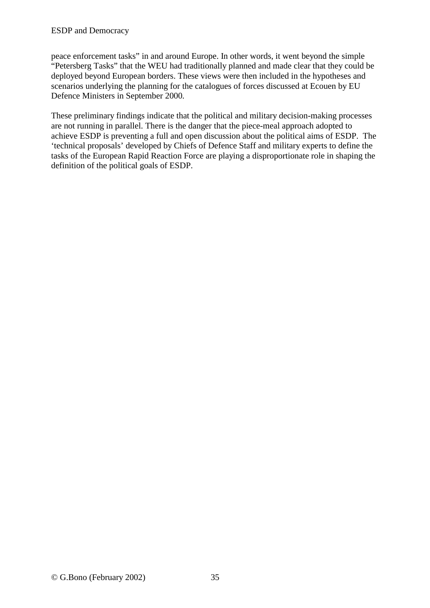#### ESDP and Democracy

peace enforcement tasks" in and around Europe. In other words, it went beyond the simple "Petersberg Tasks" that the WEU had traditionally planned and made clear that they could be deployed beyond European borders. These views were then included in the hypotheses and scenarios underlying the planning for the catalogues of forces discussed at Ecouen by EU Defence Ministers in September 2000*.*

These preliminary findings indicate that the political and military decision-making processes are not running in parallel. There is the danger that the piece-meal approach adopted to achieve ESDP is preventing a full and open discussion about the political aims of ESDP. The 'technical proposals' developed by Chiefs of Defence Staff and military experts to define the tasks of the European Rapid Reaction Force are playing a disproportionate role in shaping the definition of the political goals of ESDP.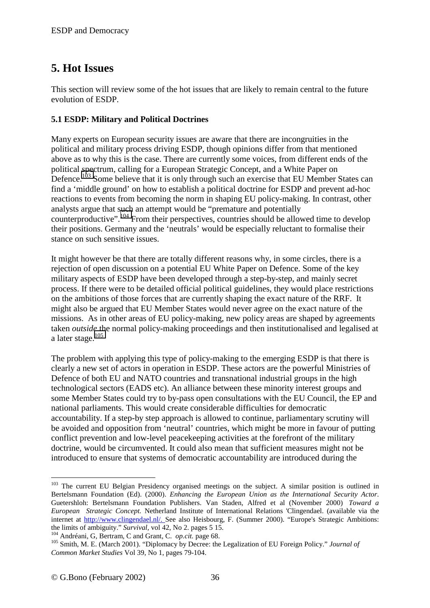## <span id="page-35-0"></span>**5. Hot Issues**

This section will review some of the hot issues that are likely to remain central to the future evolution of ESDP.

## **5.1 ESDP: Military and Political Doctrines**

Many experts on European security issues are aware that there are incongruities in the political and military process driving ESDP, though opinions differ from that mentioned above as to why this is the case. There are currently some voices, from different ends of the political spectrum, calling for a European Strategic Concept, and a White Paper on Defence.<sup>103</sup> Some believe that it is only through such an exercise that EU Member States can find a 'middle ground' on how to establish a political doctrine for ESDP and prevent ad-hoc reactions to events from becoming the norm in shaping EU policy-making. In contrast, other analysts argue that such an attempt would be "premature and potentially counterproductive".<sup>104</sup> From their perspectives, countries should be allowed time to develop their positions. Germany and the 'neutrals' would be especially reluctant to formalise their stance on such sensitive issues.

It might however be that there are totally different reasons why, in some circles, there is a rejection of open discussion on a potential EU White Paper on Defence. Some of the key military aspects of ESDP have been developed through a step-by-step, and mainly secret process. If there were to be detailed official political guidelines, they would place restrictions on the ambitions of those forces that are currently shaping the exact nature of the RRF. It might also be argued that EU Member States would never agree on the exact nature of the missions. As in other areas of EU policy-making, new policy areas are shaped by agreements taken *outside* the normal policy-making proceedings and then institutionalised and legalised at a later stage.<sup>105</sup>

The problem with applying this type of policy-making to the emerging ESDP is that there is clearly a new set of actors in operation in ESDP. These actors are the powerful Ministries of Defence of both EU and NATO countries and transnational industrial groups in the high technological sectors (EADS etc). An alliance between these minority interest groups and some Member States could try to by-pass open consultations with the EU Council, the EP and national parliaments. This would create considerable difficulties for democratic accountability. If a step-by step approach is allowed to continue, parliamentary scrutiny will be avoided and opposition from 'neutral' countries, which might be more in favour of putting conflict prevention and low-level peacekeeping activities at the forefront of the military doctrine, would be circumvented. It could also mean that sufficient measures might not be introduced to ensure that systems of democratic accountability are introduced during the

<sup>&</sup>lt;sup>103</sup> The current EU Belgian Presidency organised meetings on the subject. A similar position is outlined in Bertelsmann Foundation (Ed). (2000). *Enhancing the European Union as the International Security Actor*. Guetershloh: Bertelsmann Foundation Publishers. Van Staden, Alfred et al (November 2000) *Toward a European Strategic Concept.* Netherland Institute of International Relations 'Clingendael. (available via the internet at http://www.clingendael.nl/. See also Heisbourg, F. (Summer 2000). "Europe's Strategic Ambitions: the limits of ambiguity." Survival, vol 42, No 2. pages 5 15.

<sup>&</sup>lt;sup>104</sup> Andréani, G, Bertram, C and Grant, C. *op.cit.* page 68.<br><sup>105</sup> Smith, M. E. (March 2001). "Diplomacy by Decree: the Legalization of EU Foreign Policy." Journal of *Common Market Studies* Vol 39, No 1, pages 79-104.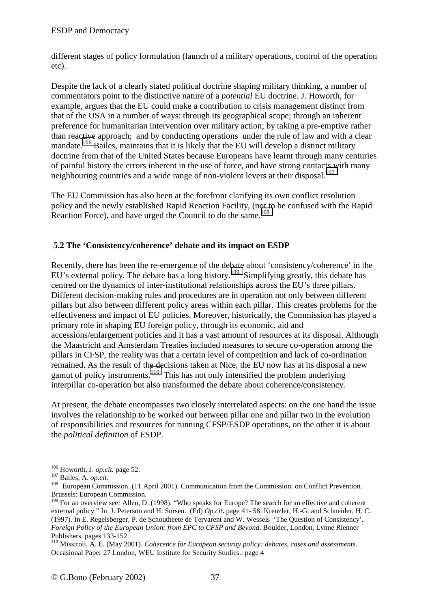<span id="page-36-0"></span>different stages of policy formulation (launch of a military operations, control of the operation etc).

Despite the lack of a clearly stated political doctrine shaping military thinking, a number of commentators point to the distinctive nature of a *potential* EU doctrine. J. Howorth, for example, argues that the EU could make a contribution to crisis management distinct from that of the USA in a number of ways: through its geographical scope; through an inherent preference for humanitarian intervention over military action; by taking a pre-emptive rather than reactive approach; and by conducting operations under the rule of law and with a clear mandate.<sup>106</sup> Bailes, maintains that it is likely that the EU will develop a distinct military doctrine from that of the United States because Europeans have learnt through many centuries of painful history the errors inherent in the use of force, and have strong contacts with many neighbouring countries and a wide range of non-violent levers at their disposal.<sup>107</sup>

The EU Commission has also been at the forefront clarifying its own conflict resolution policy and the newly established Rapid Reaction Facility, (not to be confused with the Rapid Reaction Force), and have urged the Council to do the same.<sup>108</sup>

### **5.2 The 'Consistency/coherence' debate and its impact on ESDP**

Recently, there has been the re-emergence of the debate about 'consistency/coherence' in the EU's external policy. The debate has a long history.<sup>109</sup> Simplifying greatly, this debate has centred on the dynamics of inter-institutional relationships across the EU's three pillars. Different decision-making rules and procedures are in operation not only between different pillars but also between different policy areas within each pillar. This creates problems for the effectiveness and impact of EU policies. Moreover, historically, the Commission has played a primary role in shaping EU foreign policy, through its economic, aid and accessions/enlargement policies and it has a vast amount of resources at its disposal. Although the Maastricht and Amsterdam Treaties included measures to secure co-operation among the pillars in CFSP, the reality was that a certain level of competition and lack of co-ordination remained. As the result of the decisions taken at Nice, the EU now has at its disposal a new gamut of policy instruments.<sup>110</sup> This has not only intensified the problem underlying interpillar co-operation but also transformed the debate about coherence/consistency.

At present, the debate encompasses two closely interrelated aspects: on the one hand the issue involves the relationship to be worked out between pillar one and pillar two in the evolution of responsibilities and resources for running CFSP/ESDP operations, on the other it is about the *political definition* of ESDP.

<sup>&</sup>lt;sup>106</sup> Howorth, J. *op.cit.* page 52.<br><sup>107</sup> Bailes, A. *op.cit.* 108 European Commission. (11 April 2001). Communication from the Commission: on Conflict Prevention. Brussels: European Commission.

<sup>&</sup>lt;sup>109</sup> For an overview see: Allen, D. (1998). "Who speaks for Europe? The search for an effective and coherent external policy." In J. Peterson and H. Sursen. (Ed) *Op.cit***.** page 41- 58. Krenzler, H.-G. and Schneider, H. C. (1997). In E. Regelsberger, P. de Schoutheete de Tervarent and W. Wessels 'The Question of Consistency'. *Foreign Policy of the European Union: from EPC to CFSP and Beyond*. Boulder, London, Lynne Rienner Publishers. pages 133-152.

<sup>110</sup> Missiroli, A. E. (May 2001). *Coherence for European security policy: debates, cases and assessments.* Occasional Paper 27 London, WEU Institute for Security Studies.: page 4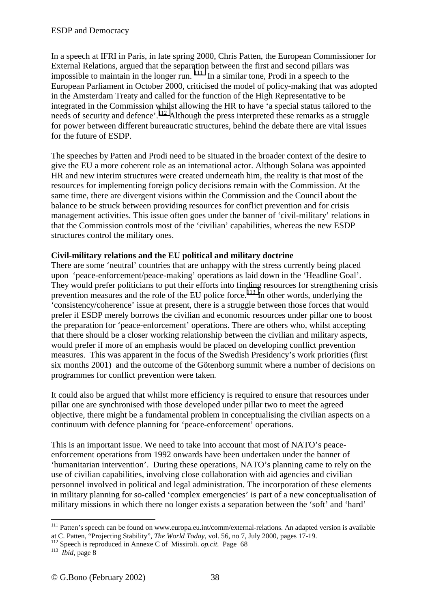In a speech at IFRI in Paris, in late spring 2000, Chris Patten, the European Commissioner for External Relations, argued that the separation between the first and second pillars was impossible to maintain in the longer run.  $\frac{1}{11}$  In a similar tone, Prodi in a speech to the European Parliament in October 2000, criticised the model of policy-making that was adopted in the Amsterdam Treaty and called for the function of the High Representative to be integrated in the Commission whilst allowing the HR to have 'a special status tailored to the needs of security and defence'.<sup>112</sup> Although the press interpreted these remarks as a struggle for power between different bureaucratic structures, behind the debate there are vital issues for the future of ESDP.

The speeches by Patten and Prodi need to be situated in the broader context of the desire to give the EU a more coherent role as an international actor. Although Solana was appointed HR and new interim structures were created underneath him, the reality is that most of the resources for implementing foreign policy decisions remain with the Commission. At the same time, there are divergent visions within the Commission and the Council about the balance to be struck between providing resources for conflict prevention and for crisis management activities. This issue often goes under the banner of 'civil-military' relations in that the Commission controls most of the 'civilian' capabilities, whereas the new ESDP structures control the military ones.

### **Civil-military relations and the EU political and military doctrine**

There are some 'neutral' countries that are unhappy with the stress currently being placed upon 'peace-enforcement/peace-making' operations as laid down in the 'Headline Goal'. They would prefer politicians to put their efforts into finding resources for strengthening crisis prevention measures and the role of the EU police force.<sup>113</sup> In other words, underlying the 'consistency/coherence' issue at present, there is a struggle between those forces that would prefer if ESDP merely borrows the civilian and economic resources under pillar one to boost the preparation for 'peace-enforcement' operations. There are others who, whilst accepting that there should be a closer working relationship between the civilian and military aspects, would prefer if more of an emphasis would be placed on developing conflict prevention measures. This was apparent in the focus of the Swedish Presidency's work priorities (first six months 2001) and the outcome of the Götenborg summit where a number of decisions on programmes for conflict prevention were taken*.* 

It could also be argued that whilst more efficiency is required to ensure that resources under pillar one are synchronised with those developed under pillar two to meet the agreed objective, there might be a fundamental problem in conceptualising the civilian aspects on a continuum with defence planning for 'peace-enforcement' operations.

This is an important issue. We need to take into account that most of NATO's peaceenforcement operations from 1992 onwards have been undertaken under the banner of 'humanitarian intervention'. During these operations, NATO's planning came to rely on the use of civilian capabilities, involving close collaboration with aid agencies and civilian personnel involved in political and legal administration. The incorporation of these elements in military planning for so-called 'complex emergencies' is part of a new conceptualisation of military missions in which there no longer exists a separation between the 'soft' and 'hard'

<sup>&</sup>lt;sup>111</sup> Patten's speech can be found on www.europa.eu.int/comm/external-relations. An adapted version is available at C. Patten, "Projecting Stability", *The World Today*, vol. 56, no 7, July 2000, pages 17-19.<br><sup>112</sup> Speech is reproduced in Annexe C of Missiroli. *op.cit*. Page 68 <sup>113</sup> *Ibid*, page 8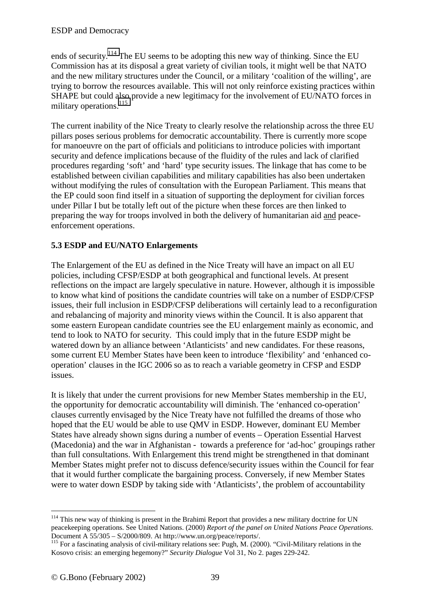<span id="page-38-0"></span>ends of security.<sup>114</sup> The EU seems to be adopting this new way of thinking. Since the EU Commission has at its disposal a great variety of civilian tools, it might well be that NATO and the new military structures under the Council, or a military 'coalition of the willing', are trying to borrow the resources available. This will not only reinforce existing practices within SHAPE but could also provide a new legitimacy for the involvement of EU/NATO forces in military operations.<sup>115</sup>

The current inability of the Nice Treaty to clearly resolve the relationship across the three EU pillars poses serious problems for democratic accountability. There is currently more scope for manoeuvre on the part of officials and politicians to introduce policies with important security and defence implications because of the fluidity of the rules and lack of clarified procedures regarding 'soft' and 'hard' type security issues. The linkage that has come to be established between civilian capabilities and military capabilities has also been undertaken without modifying the rules of consultation with the European Parliament. This means that the EP could soon find itself in a situation of supporting the deployment for civilian forces under Pillar I but be totally left out of the picture when these forces are then linked to preparing the way for troops involved in both the delivery of humanitarian aid and peaceenforcement operations.

### **5.3 ESDP and EU/NATO Enlargements**

The Enlargement of the EU as defined in the Nice Treaty will have an impact on all EU policies, including CFSP/ESDP at both geographical and functional levels. At present reflections on the impact are largely speculative in nature. However, although it is impossible to know what kind of positions the candidate countries will take on a number of ESDP/CFSP issues, their full inclusion in ESDP/CFSP deliberations will certainly lead to a reconfiguration and rebalancing of majority and minority views within the Council. It is also apparent that some eastern European candidate countries see the EU enlargement mainly as economic, and tend to look to NATO for security. This could imply that in the future ESDP might be watered down by an alliance between 'Atlanticists' and new candidates. For these reasons, some current EU Member States have been keen to introduce 'flexibility' and 'enhanced cooperation' clauses in the IGC 2006 so as to reach a variable geometry in CFSP and ESDP issues.

It is likely that under the current provisions for new Member States membership in the EU, the opportunity for democratic accountability will diminish. The 'enhanced co-operation' clauses currently envisaged by the Nice Treaty have not fulfilled the dreams of those who hoped that the EU would be able to use QMV in ESDP. However, dominant EU Member States have already shown signs during a number of events – Operation Essential Harvest (Macedonia) and the war in Afghanistan - towards a preference for 'ad-hoc' groupings rather than full consultations. With Enlargement this trend might be strengthened in that dominant Member States might prefer not to discuss defence/security issues within the Council for fear that it would further complicate the bargaining process. Conversely, if new Member States were to water down ESDP by taking side with 'Atlanticists', the problem of accountability

 $\overline{a}$ <sup>114</sup> This new way of thinking is present in the Brahimi Report that provides a new military doctrine for UN peacekeeping operations. See United Nations. (2000) *Report of the panel on United Nations Peace Operations*.

<sup>&</sup>lt;sup>115</sup> For a fascinating analysis of civil-military relations see: Pugh, M. (2000). "Civil-Military relations in the Kosovo crisis: an emerging hegemony?" *Security Dialogue* Vol 31, No 2. pages 229-242.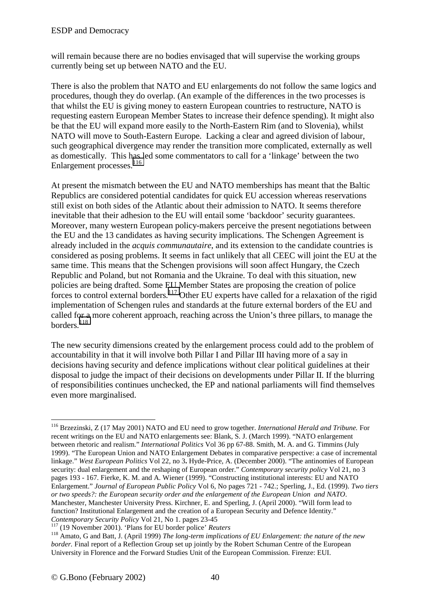will remain because there are no bodies envisaged that will supervise the working groups currently being set up between NATO and the EU.

There is also the problem that NATO and EU enlargements do not follow the same logics and procedures, though they do overlap. (An example of the differences in the two processes is that whilst the EU is giving money to eastern European countries to restructure, NATO is requesting eastern European Member States to increase their defence spending). It might also be that the EU will expand more easily to the North-Eastern Rim (and to Slovenia), whilst NATO will move to South-Eastern Europe. Lacking a clear and agreed division of labour, such geographical divergence may render the transition more complicated, externally as well as domestically. This has led some commentators to call for a 'linkage' between the two Enlargement processes.<sup>116</sup>

At present the mismatch between the EU and NATO memberships has meant that the Baltic Republics are considered potential candidates for quick EU accession whereas reservations still exist on both sides of the Atlantic about their admission to NATO. It seems therefore inevitable that their adhesion to the EU will entail some 'backdoor' security guarantees. Moreover, many western European policy-makers perceive the present negotiations between the EU and the 13 candidates as having security implications. The Schengen Agreement is already included in the *acquis communautaire*, and its extension to the candidate countries is considered as posing problems. It seems in fact unlikely that all CEEC will joint the EU at the same time. This means that the Schengen provisions will soon affect Hungary, the Czech Republic and Poland, but not Romania and the Ukraine. To deal with this situation, new policies are being drafted. Some EU Member States are proposing the creation of police forces to control external borders.<sup>117</sup> Other EU experts have called for a relaxation of the rigid implementation of Schengen rules and standards at the future external borders of the EU and called for a more coherent approach, reaching across the Union's three pillars, to manage the borders*.* <sup>118</sup>

The new security dimensions created by the enlargement process could add to the problem of accountability in that it will involve both Pillar I and Pillar III having more of a say in decisions having security and defence implications without clear political guidelines at their disposal to judge the impact of their decisions on developments under Pillar II. If the blurring of responsibilities continues unchecked, the EP and national parliaments will find themselves even more marginalised.

 $\overline{a}$ 116 Brzezinski, Z (17 May 2001) NATO and EU need to grow together. *International Herald and Tribune.* For recent writings on the EU and NATO enlargements see: Blank, S. J. (March 1999). "NATO enlargement between rhetoric and realism." *International Politics* Vol 36 pp 67-88. Smith, M. A. and G. Timmins (July 1999). "The European Union and NATO Enlargement Debates in comparative perspective: a case of incremental linkage." *West European Politics* Vol 22, no 3**.** Hyde-Price, A. (December 2000). "The antinomies of European security: dual enlargement and the reshaping of European order." *Contemporary security policy* Vol 21, no 3 pages 193 - 167. Fierke, K. M. and A. Wiener (1999). "Constructing institutional interests: EU and NATO Enlargement." *Journal of European Public Policy* Vol 6, No pages 721 - 742.; Sperling, J., Ed. (1999). *Two tiers or two speeds?: the European security order and the enlargement of the European Union and NATO*. Manchester, Manchester University Press. Kirchner, E. and Sperling, J. (April 2000). "Will form lead to function? Institutional Enlargement and the creation of a European Security and Defence Identity."<br>Contemporary Security Policy Vol 21, No 1. pages 23-45

<sup>&</sup>lt;sup>117</sup> (19 November 2001). 'Plans for EU border police' *Reuters*<br><sup>118</sup> Amato, G and Batt, J. (April 1999) *The long-term implications of EU Enlargement: the nature of the new border.* Final report of a Reflection Group set up jointly by the Robert Schuman Centre of the European University in Florence and the Forward Studies Unit of the European Commission. Firenze: EUI.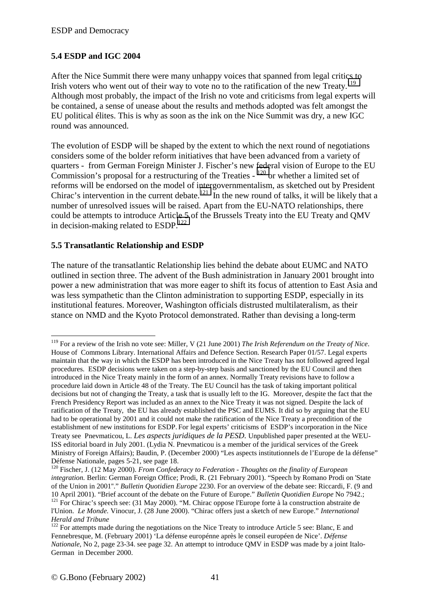## <span id="page-40-0"></span>**5.4 ESDP and IGC 2004**

After the Nice Summit there were many unhappy voices that spanned from legal critics to Irish voters who went out of their way to vote no to the ratification of the new Treaty.<sup>119</sup> Although most probably, the impact of the Irish no vote and criticisms from legal experts will be contained, a sense of unease about the results and methods adopted was felt amongst the EU political élites. This is why as soon as the ink on the Nice Summit was dry, a new IGC round was announced.

The evolution of ESDP will be shaped by the extent to which the next round of negotiations considers some of the bolder reform initiatives that have been advanced from a variety of quarters - from German Foreign Minister J. Fischer's new federal vision of Europe to the EU Commission's proposal for a restructuring of the Treaties - 120 or whether a limited set of reforms will be endorsed on the model of intergovernmentalism, as sketched out by President Chirac's intervention in the current debate.<sup>121</sup> In the new round of talks, it will be likely that a number of unresolved issues will be raised. Apart from the EU-NATO relationships, there could be attempts to introduce Article 5 of the Brussels Treaty into the EU Treaty and QMV in decision-making related to ESDP.<sup>122</sup>

#### **5.5 Transatlantic Relationship and ESDP**

 $\overline{a}$ 

The nature of the transatlantic Relationship lies behind the debate about EUMC and NATO outlined in section three. The advent of the Bush administration in January 2001 brought into power a new administration that was more eager to shift its focus of attention to East Asia and was less sympathetic than the Clinton administration to supporting ESDP, especially in its institutional features. Moreover, Washington officials distrusted multilateralism, as their stance on NMD and the Kyoto Protocol demonstrated. Rather than devising a long-term

<sup>119</sup> For a review of the Irish no vote see: Miller, V (21 June 2001) *The Irish Referendum on the Treaty of Nice*. House of Commons Library. International Affairs and Defence Section. Research Paper 01/57. Legal experts maintain that the way in which the ESDP has been introduced in the Nice Treaty has not followed agreed legal procedures. ESDP decisions were taken on a step-by-step basis and sanctioned by the EU Council and then introduced in the Nice Treaty mainly in the form of an annex. Normally Treaty revisions have to follow a procedure laid down in Article 48 of the Treaty. The EU Council has the task of taking important political decisions but not of changing the Treaty, a task that is usually left to the IG. Moreover, despite the fact that the French Presidency Report was included as an annex to the Nice Treaty it was not signed. Despite the lack of ratification of the Treaty, the EU has already established the PSC and EUMS. It did so by arguing that the EU had to be operational by 2001 and it could not make the ratification of the Nice Treaty a precondition of the establishment of new institutions for ESDP. For legal experts' criticisms of ESDP's incorporation in the Nice Treaty see Pnevmaticou, L. *Les aspects juridiques de la PESD*. Unpublished paper presented at the WEU-ISS editorial board in July 2001. (Lydia N. Pnevmaticou is a member of the juridical services of the Greek Ministry of Foreign Affairs); Baudin, P. (December 2000) "Les aspects institutionnels de l'Europe de la défense"

Défense Nationale, pages 5-21, see page 18.<br><sup>120</sup> Fischer, J. (12 May 2000). *From Confederacy to Federation - Thoughts on the finality of European integration.* Berlin: German Foreign Office; Prodi, R. (21 February 2001). "Speech by Romano Prodi on 'State of the Union in 2001"." *Bulletin Quotidien Europe* 2230. For an overview of the debate see: Riccardi, F. (9 and 10 April 2001). "Brief account of the debate on the Future of Europe." *Bulletin Quotidien Europe* No 7942.; <sup>121</sup> For Chirac's speech see: (31 May 2000). "M. Chirac oppose l'Europe forte à la construction abstraite de l'Union. *Le Monde.* Vinocur, J. (28 June 2000). "Chirac offers just a sketch of new Europe." *International Herald and Tribune*

 $122$  For attempts made during the negotiations on the Nice Treaty to introduce Article 5 see: Blanc, E and Fennebresque, M. (February 2001) 'La défense europénne après le conseil européen de Nice'. *Défense Nationale*, No 2, page 23-34. see page 32. An attempt to introduce QMV in ESDP was made by a joint Italo-German in December 2000.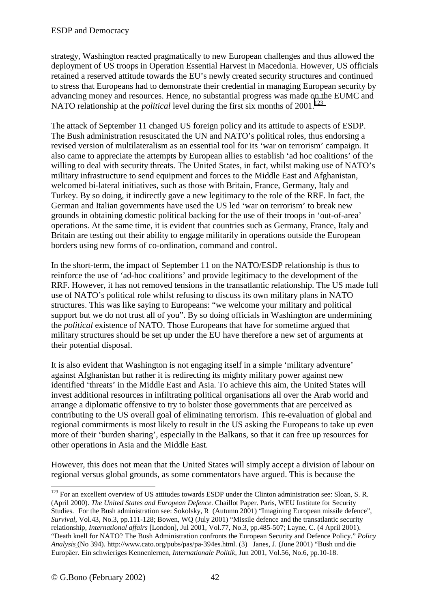strategy, Washington reacted pragmatically to new European challenges and thus allowed the deployment of US troops in Operation Essential Harvest in Macedonia. However, US officials retained a reserved attitude towards the EU's newly created security structures and continued to stress that Europeans had to demonstrate their credential in managing European security by advancing money and resources. Hence, no substantial progress was made on the EUMC and NATO relationship at the *political* level during the first six months of  $2001$ <sup>123</sup>

The attack of September 11 changed US foreign policy and its attitude to aspects of ESDP. The Bush administration resuscitated the UN and NATO's political roles, thus endorsing a revised version of multilateralism as an essential tool for its 'war on terrorism' campaign. It also came to appreciate the attempts by European allies to establish 'ad hoc coalitions' of the willing to deal with security threats. The United States, in fact, whilst making use of NATO's military infrastructure to send equipment and forces to the Middle East and Afghanistan, welcomed bi-lateral initiatives, such as those with Britain, France, Germany, Italy and Turkey. By so doing, it indirectly gave a new legitimacy to the role of the RRF. In fact, the German and Italian governments have used the US led 'war on terrorism' to break new grounds in obtaining domestic political backing for the use of their troops in 'out-of-area' operations. At the same time, it is evident that countries such as Germany, France, Italy and Britain are testing out their ability to engage militarily in operations outside the European borders using new forms of co-ordination, command and control.

In the short-term, the impact of September 11 on the NATO/ESDP relationship is thus to reinforce the use of 'ad-hoc coalitions' and provide legitimacy to the development of the RRF. However, it has not removed tensions in the transatlantic relationship. The US made full use of NATO's political role whilst refusing to discuss its own military plans in NATO structures. This was like saying to Europeans: "we welcome your military and political support but we do not trust all of you". By so doing officials in Washington are undermining the *political* existence of NATO. Those Europeans that have for sometime argued that military structures should be set up under the EU have therefore a new set of arguments at their potential disposal.

It is also evident that Washington is not engaging itself in a simple 'military adventure' against Afghanistan but rather it is redirecting its mighty military power against new identified 'threats' in the Middle East and Asia. To achieve this aim, the United States will invest additional resources in infiltrating political organisations all over the Arab world and arrange a diplomatic offensive to try to bolster those governments that are perceived as contributing to the US overall goal of eliminating terrorism. This re-evaluation of global and regional commitments is most likely to result in the US asking the Europeans to take up even more of their 'burden sharing', especially in the Balkans, so that it can free up resources for other operations in Asia and the Middle East.

However, this does not mean that the United States will simply accept a division of labour on regional versus global grounds, as some commentators have argued. This is because the

<sup>&</sup>lt;sup>123</sup> For an excellent overview of US attitudes towards ESDP under the Clinton administration see: Sloan, S. R. (April 2000). *The United States and European Defence*. Chaillot Paper. Paris, WEU Institute for Security Studies. For the Bush administration see: Sokolsky, R (Autumn 2001) "Imagining European missile defence", *Survival*, Vol.43, No.3, pp.111-128; Bowen, WQ (July 2001) "Missile defence and the transatlantic security relationship, *International affairs* [London], Jul 2001, Vol.77, No.3, pp.485-507; Layne, C. (4 April 2001). "Death knell for NATO? The Bush Administration confronts the European Security and Defence Policy." *Policy Analysis* (No 394). http://www.cato.org/pubs/pas/pa-394es.html. (3) Janes, J. (June 2001) "Bush und die Europäer. Ein schwieriges Kennenlernen, *Internationale Politik*, Jun 2001, Vol.56, No.6, pp.10-18.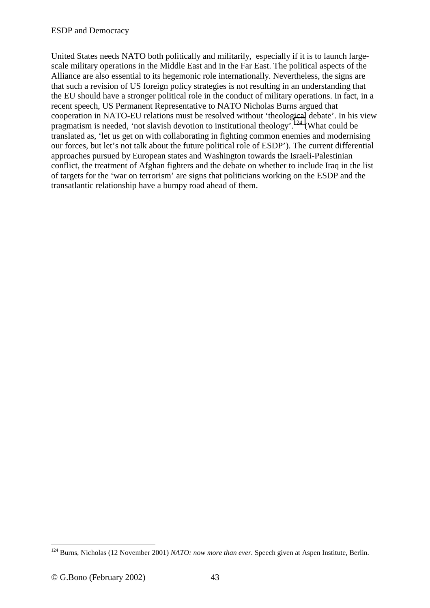United States needs NATO both politically and militarily, especially if it is to launch largescale military operations in the Middle East and in the Far East. The political aspects of the Alliance are also essential to its hegemonic role internationally. Nevertheless, the signs are that such a revision of US foreign policy strategies is not resulting in an understanding that the EU should have a stronger political role in the conduct of military operations. In fact, in a recent speech, US Permanent Representative to NATO Nicholas Burns argued that cooperation in NATO-EU relations must be resolved without 'theological debate'. In his view pragmatism is needed, 'not slavish devotion to institutional theology'.<sup>124</sup> (What could be translated as, 'let us get on with collaborating in fighting common enemies and modernising our forces, but let's not talk about the future political role of ESDP'). The current differential approaches pursued by European states and Washington towards the Israeli-Palestinian conflict, the treatment of Afghan fighters and the debate on whether to include Iraq in the list of targets for the 'war on terrorism' are signs that politicians working on the ESDP and the transatlantic relationship have a bumpy road ahead of them.

<sup>124</sup> Burns, Nicholas (12 November 2001) *NATO: now more than ever.* Speech given at Aspen Institute, Berlin.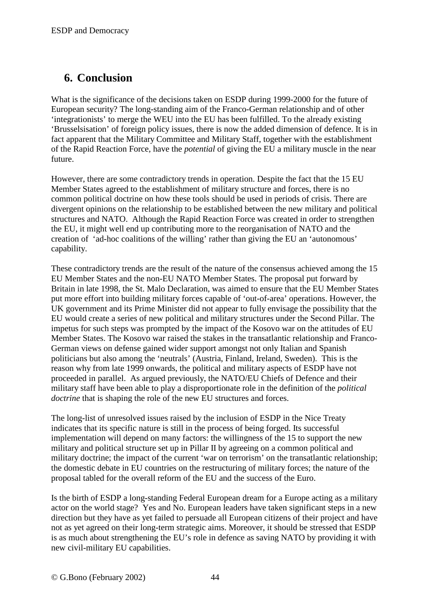## <span id="page-43-0"></span>**6. Conclusion**

What is the significance of the decisions taken on ESDP during 1999-2000 for the future of European security? The long-standing aim of the Franco-German relationship and of other 'integrationists' to merge the WEU into the EU has been fulfilled. To the already existing 'Brusselsisation' of foreign policy issues, there is now the added dimension of defence. It is in fact apparent that the Military Committee and Military Staff, together with the establishment of the Rapid Reaction Force, have the *potential* of giving the EU a military muscle in the near future.

However, there are some contradictory trends in operation. Despite the fact that the 15 EU Member States agreed to the establishment of military structure and forces, there is no common political doctrine on how these tools should be used in periods of crisis. There are divergent opinions on the relationship to be established between the new military and political structures and NATO. Although the Rapid Reaction Force was created in order to strengthen the EU, it might well end up contributing more to the reorganisation of NATO and the creation of 'ad-hoc coalitions of the willing' rather than giving the EU an 'autonomous' capability.

These contradictory trends are the result of the nature of the consensus achieved among the 15 EU Member States and the non-EU NATO Member States. The proposal put forward by Britain in late 1998, the St. Malo Declaration, was aimed to ensure that the EU Member States put more effort into building military forces capable of 'out-of-area' operations. However, the UK government and its Prime Minister did not appear to fully envisage the possibility that the EU would create a series of new political and military structures under the Second Pillar. The impetus for such steps was prompted by the impact of the Kosovo war on the attitudes of EU Member States. The Kosovo war raised the stakes in the transatlantic relationship and Franco-German views on defense gained wider support amongst not only Italian and Spanish politicians but also among the 'neutrals' (Austria, Finland, Ireland, Sweden). This is the reason why from late 1999 onwards, the political and military aspects of ESDP have not proceeded in parallel. As argued previously, the NATO/EU Chiefs of Defence and their military staff have been able to play a disproportionate role in the definition of the *political doctrine* that is shaping the role of the new EU structures and forces.

The long-list of unresolved issues raised by the inclusion of ESDP in the Nice Treaty indicates that its specific nature is still in the process of being forged. Its successful implementation will depend on many factors: the willingness of the 15 to support the new military and political structure set up in Pillar II by agreeing on a common political and military doctrine; the impact of the current 'war on terrorism' on the transatlantic relationship; the domestic debate in EU countries on the restructuring of military forces; the nature of the proposal tabled for the overall reform of the EU and the success of the Euro.

Is the birth of ESDP a long-standing Federal European dream for a Europe acting as a military actor on the world stage? Yes and No. European leaders have taken significant steps in a new direction but they have as yet failed to persuade all European citizens of their project and have not as yet agreed on their long-term strategic aims. Moreover, it should be stressed that ESDP is as much about strengthening the EU's role in defence as saving NATO by providing it with new civil-military EU capabilities.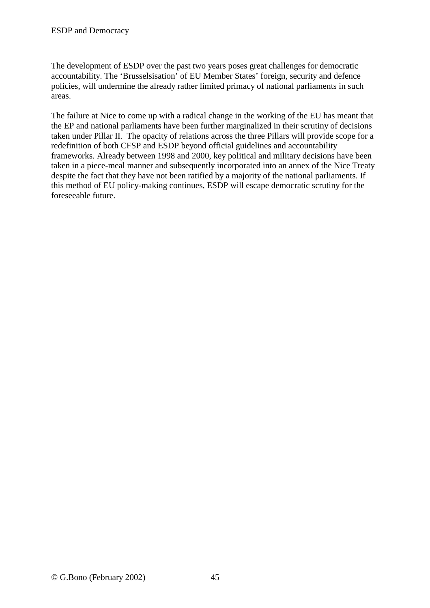The development of ESDP over the past two years poses great challenges for democratic accountability. The 'Brusselsisation' of EU Member States' foreign, security and defence policies, will undermine the already rather limited primacy of national parliaments in such areas.

The failure at Nice to come up with a radical change in the working of the EU has meant that the EP and national parliaments have been further marginalized in their scrutiny of decisions taken under Pillar II. The opacity of relations across the three Pillars will provide scope for a redefinition of both CFSP and ESDP beyond official guidelines and accountability frameworks. Already between 1998 and 2000, key political and military decisions have been taken in a piece-meal manner and subsequently incorporated into an annex of the Nice Treaty despite the fact that they have not been ratified by a majority of the national parliaments. If this method of EU policy-making continues, ESDP will escape democratic scrutiny for the foreseeable future.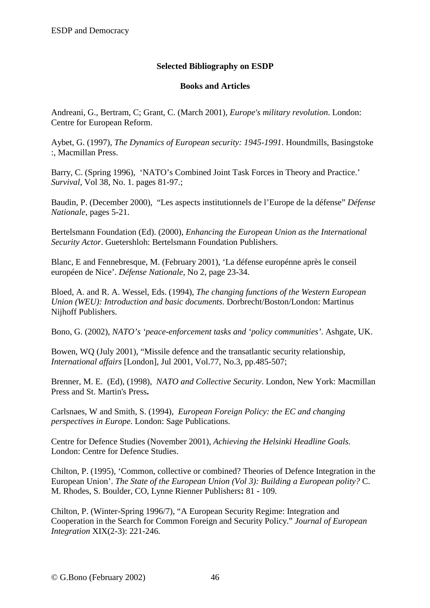### **Selected Bibliography on ESDP**

#### **Books and Articles**

<span id="page-45-0"></span>Andreani, G., Bertram, C; Grant, C. (March 2001), *Europe's military revolution*. London: Centre for European Reform.

Aybet, G. (1997), *The Dynamics of European security: 1945-1991*. Houndmills, Basingstoke :, Macmillan Press.

Barry, C. (Spring 1996), 'NATO's Combined Joint Task Forces in Theory and Practice.' *Survival,* Vol 38, No. 1. pages 81-97.;

Baudin, P. (December 2000), "Les aspects institutionnels de l'Europe de la défense" *Défense Nationale*, pages 5-21.

Bertelsmann Foundation (Ed). (2000), *Enhancing the European Union as the International Security Actor*. Guetershloh: Bertelsmann Foundation Publishers.

Blanc, E and Fennebresque, M. (February 2001), 'La défense europénne après le conseil européen de Nice'. *Défense Nationale*, No 2, page 23-34.

Bloed, A. and R. A. Wessel, Eds. (1994), *The changing functions of the Western European Union (WEU): Introduction and basic documents*. Dorbrecht/Boston/London: Martinus Nijhoff Publishers.

Bono, G. (2002), *NATO's 'peace-enforcement tasks and 'policy communities'*. Ashgate, UK.

Bowen, WQ (July 2001), "Missile defence and the transatlantic security relationship, *International affairs* [London], Jul 2001, Vol.77, No.3, pp.485-507;

Brenner, M. E. (Ed), (1998), *NATO and Collective Security*. London, New York: Macmillan Press and St. Martin's Press**.**

Carlsnaes, W and Smith, S. (1994), *European Foreign Policy: the EC and changing perspectives in Europe*. London: Sage Publications.

Centre for Defence Studies (November 2001), *Achieving the Helsinki Headline Goals.* London: Centre for Defence Studies.

Chilton, P. (1995), 'Common, collective or combined? Theories of Defence Integration in the European Union'. *The State of the European Union (Vol 3): Building a European polity?* C. M. Rhodes, S. Boulder, CO, Lynne Rienner Publishers**:** 81 - 109.

Chilton, P. (Winter-Spring 1996/7), "A European Security Regime: Integration and Cooperation in the Search for Common Foreign and Security Policy." *Journal of European Integration* XIX(2-3): 221-246.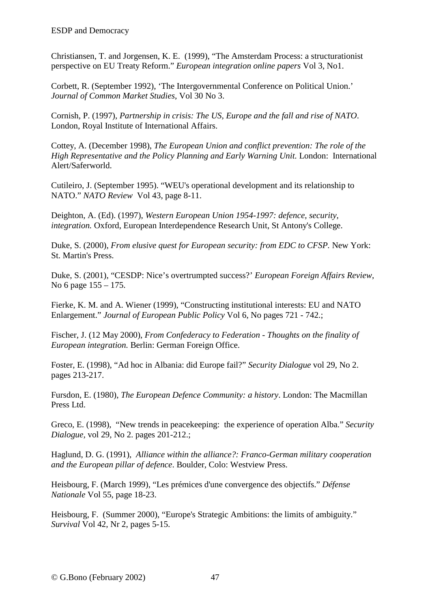Christiansen, T. and Jorgensen, K. E. (1999), "The Amsterdam Process: a structurationist perspective on EU Treaty Reform." *European integration online papers* Vol 3, No1.

Corbett, R. (September 1992), 'The Intergovernmental Conference on Political Union.' *Journal of Common Market Studies*, Vol 30 No 3.

Cornish, P. (1997), *Partnership in crisis: The US, Europe and the fall and rise of NATO*. London, Royal Institute of International Affairs.

Cottey, A. (December 1998), *The European Union and conflict prevention: The role of the High Representative and the Policy Planning and Early Warning Unit.* London: International Alert/Saferworld.

Cutileiro, J. (September 1995). "WEU's operational development and its relationship to NATO." *NATO Review* Vol 43, page 8-11.

Deighton, A. (Ed). (1997), *Western European Union 1954-1997: defence, security, integration.* Oxford, European Interdependence Research Unit, St Antony's College.

Duke, S. (2000), *From elusive quest for European security: from EDC to CFSP.* New York: St. Martin's Press.

Duke, S. (2001), "CESDP: Nice's overtrumpted success?' *European Foreign Affairs Review*, No 6 page 155 – 175.

Fierke, K. M. and A. Wiener (1999), "Constructing institutional interests: EU and NATO Enlargement." *Journal of European Public Policy* Vol 6, No pages 721 - 742.;

Fischer, J. (12 May 2000), *From Confederacy to Federation - Thoughts on the finality of European integration.* Berlin: German Foreign Office.

Foster, E. (1998), "Ad hoc in Albania: did Europe fail?" *Security Dialogue* vol 29, No 2. pages 213-217.

Fursdon, E. (1980), *The European Defence Community: a history*. London: The Macmillan Press Ltd.

Greco, E. (1998), "New trends in peacekeeping: the experience of operation Alba." *Security Dialogue,* vol 29, No 2. pages 201-212.;

Haglund, D. G. (1991), *Alliance within the alliance?: Franco-German military cooperation and the European pillar of defence*. Boulder, Colo: Westview Press.

Heisbourg, F. (March 1999), "Les prémices d'une convergence des objectifs." *Défense Nationale* Vol 55, page 18-23.

Heisbourg, F. (Summer 2000), "Europe's Strategic Ambitions: the limits of ambiguity." *Survival* Vol 42, Nr 2, pages 5-15.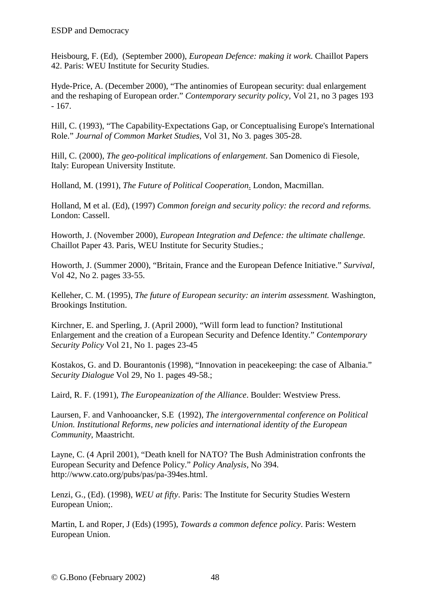Heisbourg, F. (Ed), (September 2000), *European Defence: making it work*. Chaillot Papers 42. Paris: WEU Institute for Security Studies.

Hyde-Price, A. (December 2000), "The antinomies of European security: dual enlargement and the reshaping of European order." *Contemporary security policy,* Vol 21, no 3 pages 193 - 167.

Hill, C. (1993), "The Capability-Expectations Gap, or Conceptualising Europe's International Role." *Journal of Common Market Studies*, Vol 31, No 3. pages 305-28.

Hill, C. (2000), *The geo-political implications of enlargement*. San Domenico di Fiesole, Italy: European University Institute.

Holland, M. (1991), *The Future of Political Cooperation*. London, Macmillan.

Holland, M et al. (Ed), (1997) *Common foreign and security policy: the record and reforms.* London: Cassell.

Howorth, J. (November 2000), *European Integration and Defence: the ultimate challenge.* Chaillot Paper 43. Paris, WEU Institute for Security Studies.;

Howorth, J. (Summer 2000), "Britain, France and the European Defence Initiative." *Survival,* Vol 42, No 2. pages 33-55.

Kelleher, C. M. (1995), *The future of European security: an interim assessment.* Washington, Brookings Institution.

Kirchner, E. and Sperling, J. (April 2000), "Will form lead to function? Institutional Enlargement and the creation of a European Security and Defence Identity." *Contemporary Security Policy* Vol 21, No 1. pages 23-45

Kostakos, G. and D. Bourantonis (1998), "Innovation in peacekeeping: the case of Albania." *Security Dialogue* Vol 29, No 1. pages 49-58.;

Laird, R. F. (1991), *The Europeanization of the Alliance*. Boulder: Westview Press.

Laursen, F. and Vanhooancker, S.E (1992), *The intergovernmental conference on Political Union. Institutional Reforms, new policies and international identity of the European Community*, Maastricht.

Layne, C. (4 April 2001), "Death knell for NATO? The Bush Administration confronts the European Security and Defence Policy." *Policy Analysis,* No 394. http://www.cato.org/pubs/pas/pa-394es.html.

Lenzi, G., (Ed). (1998), *WEU at fifty*. Paris: The Institute for Security Studies Western European Union;.

Martin, L and Roper, J (Eds) (1995), *Towards a common defence policy*. Paris: Western European Union.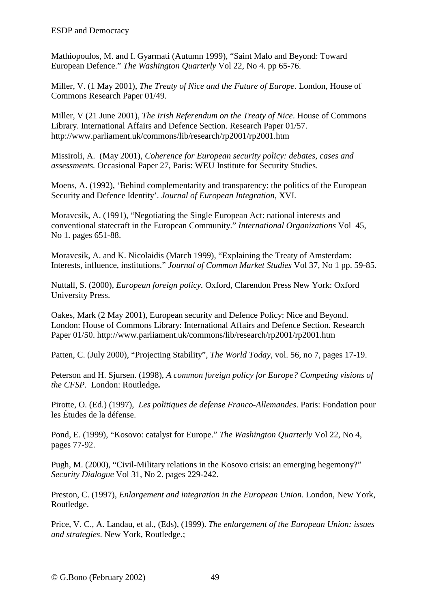Mathiopoulos, M. and I. Gyarmati (Autumn 1999), "Saint Malo and Beyond: Toward European Defence." *The Washington Quarterly* Vol 22, No 4. pp 65-76.

Miller, V. (1 May 2001), *The Treaty of Nice and the Future of Europe*. London, House of Commons Research Paper 01/49.

Miller, V (21 June 2001), *The Irish Referendum on the Treaty of Nice*. House of Commons Library. International Affairs and Defence Section. Research Paper 01/57. http://www.parliament.uk/commons/lib/research/rp2001/rp2001.htm

Missiroli, A. (May 2001), *Coherence for European security policy: debates, cases and assessments.* Occasional Paper 27, Paris: WEU Institute for Security Studies.

Moens, A. (1992), 'Behind complementarity and transparency: the politics of the European Security and Defence Identity'. *Journal of European Integration*, XVI.

Moravcsik, A. (1991), "Negotiating the Single European Act: national interests and conventional statecraft in the European Community." *International Organizations* Vol 45, No 1. pages 651-88.

Moravcsik, A. and K. Nicolaidis (March 1999), "Explaining the Treaty of Amsterdam: Interests, influence, institutions." *Journal of Common Market Studies* Vol 37, No 1 pp. 59-85.

Nuttall, S. (2000), *European foreign policy.* Oxford, Clarendon Press New York: Oxford University Press.

Oakes, Mark (2 May 2001), European security and Defence Policy: Nice and Beyond. London: House of Commons Library: International Affairs and Defence Section. Research Paper 01/50. http://www.parliament.uk/commons/lib/research/rp2001/rp2001.htm

Patten, C. (July 2000), "Projecting Stability", *The World Today*, vol. 56, no 7, pages 17-19.

Peterson and H. Sjursen. (1998), *A common foreign policy for Europe? Competing visions of the CFSP.* London: Routledge**.** 

Pirotte, O. (Ed.) (1997), *Les politiques de defense Franco-Allemandes*. Paris: Fondation pour les Études de la défense.

Pond, E. (1999), "Kosovo: catalyst for Europe." *The Washington Quarterly* Vol 22, No 4, pages 77-92.

Pugh, M. (2000), "Civil-Military relations in the Kosovo crisis: an emerging hegemony?" *Security Dialogue* Vol 31, No 2. pages 229-242.

Preston, C. (1997), *Enlargement and integration in the European Union*. London, New York, Routledge.

Price, V. C., A. Landau, et al., (Eds), (1999). *The enlargement of the European Union: issues and strategies*. New York, Routledge.;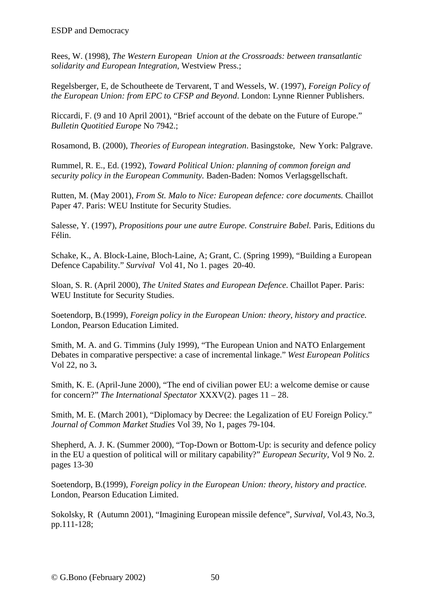Rees, W. (1998), *The Western European Union at the Crossroads: between transatlantic solidarity and European Integration*, Westview Press.;

Regelsberger, E, de Schoutheete de Tervarent, T and Wessels, W. (1997), *Foreign Policy of the European Union: from EPC to CFSP and Beyond*. London: Lynne Rienner Publishers.

Riccardi, F. (9 and 10 April 2001), "Brief account of the debate on the Future of Europe." *Bulletin Quotitied Europe* No 7942.;

Rosamond, B. (2000), *Theories of European integration*. Basingstoke, New York: Palgrave.

Rummel, R. E., Ed. (1992), *Toward Political Union: planning of common foreign and security policy in the European Community.* Baden-Baden: Nomos Verlagsgellschaft.

Rutten, M. (May 2001), *From St. Malo to Nice: European defence: core documents.* Chaillot Paper 47. Paris: WEU Institute for Security Studies.

Salesse, Y. (1997), *Propositions pour une autre Europe. Construire Babel.* Paris, Editions du Félin.

Schake, K., A. Block-Laine, Bloch-Laine, A; Grant, C. (Spring 1999), "Building a European Defence Capability." *Survival* Vol 41, No 1. pages 20-40.

Sloan, S. R. (April 2000), *The United States and European Defence*. Chaillot Paper. Paris: WEU Institute for Security Studies.

Soetendorp, B.(1999), *Foreign policy in the European Union: theory, history and practice.*  London, Pearson Education Limited.

Smith, M. A. and G. Timmins (July 1999), "The European Union and NATO Enlargement Debates in comparative perspective: a case of incremental linkage." *West European Politics* Vol 22, no 3**.**

Smith, K. E. (April-June 2000), "The end of civilian power EU: a welcome demise or cause for concern?" *The International Spectator* XXXV(2). pages 11 – 28.

Smith, M. E. (March 2001), "Diplomacy by Decree: the Legalization of EU Foreign Policy." *Journal of Common Market Studies* Vol 39, No 1, pages 79-104.

Shepherd, A. J. K. (Summer 2000), "Top-Down or Bottom-Up: is security and defence policy in the EU a question of political will or military capability?" *European Security,* Vol 9 No. 2. pages 13-30

Soetendorp, B.(1999), *Foreign policy in the European Union: theory, history and practice.*  London, Pearson Education Limited.

Sokolsky, R (Autumn 2001), "Imagining European missile defence", *Survival*, Vol.43, No.3, pp.111-128;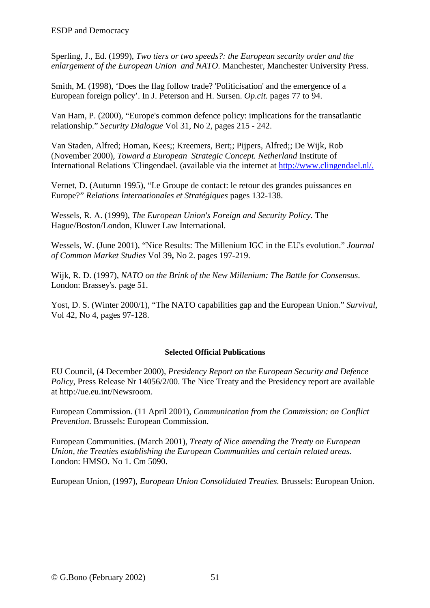Sperling, J., Ed. (1999), *Two tiers or two speeds?: the European security order and the enlargement of the European Union and NATO*. Manchester, Manchester University Press.

Smith, M. (1998), 'Does the flag follow trade? 'Politicisation' and the emergence of a European foreign policy'. In J. Peterson and H. Sursen. *Op.cit.* pages 77 to 94.

Van Ham, P. (2000), "Europe's common defence policy: implications for the transatlantic relationship." *Security Dialogue* Vol 31, No 2, pages 215 - 242.

Van Staden, Alfred; Homan, Kees;; Kreemers, Bert;; Pijpers, Alfred;; De Wijk, Rob (November 2000), *Toward a European Strategic Concept. Netherland* Institute of International Relations 'Clingendael. (available via the internet at http://www.clingendael.nl/.

Vernet, D. (Autumn 1995), "Le Groupe de contact: le retour des grandes puissances en Europe?" *Relations Internationales et Stratégiques* pages 132-138.

Wessels, R. A. (1999), *The European Union's Foreign and Security Policy*. The Hague/Boston/London, Kluwer Law International.

Wessels, W. (June 2001), "Nice Results: The Millenium IGC in the EU's evolution." *Journal of Common Market Studies* Vol 39**,** No 2. pages 197-219.

Wijk, R. D. (1997), *NATO on the Brink of the New Millenium: The Battle for Consensus*. London: Brassey's. page 51.

Yost, D. S. (Winter 2000/1), "The NATO capabilities gap and the European Union." *Survival,*  Vol 42, No 4, pages 97-128.

#### **Selected Official Publications**

EU Council, (4 December 2000), *Presidency Report on the European Security and Defence Policy*, Press Release Nr 14056/2/00. The Nice Treaty and the Presidency report are available at http://ue.eu.int/Newsroom.

European Commission. (11 April 2001), *Communication from the Commission: on Conflict Prevention*. Brussels: European Commission.

European Communities. (March 2001), *Treaty of Nice amending the Treaty on European Union, the Treaties establishing the European Communities and certain related areas.* London: HMSO. No 1. Cm 5090.

European Union, (1997), *European Union Consolidated Treaties.* Brussels: European Union.